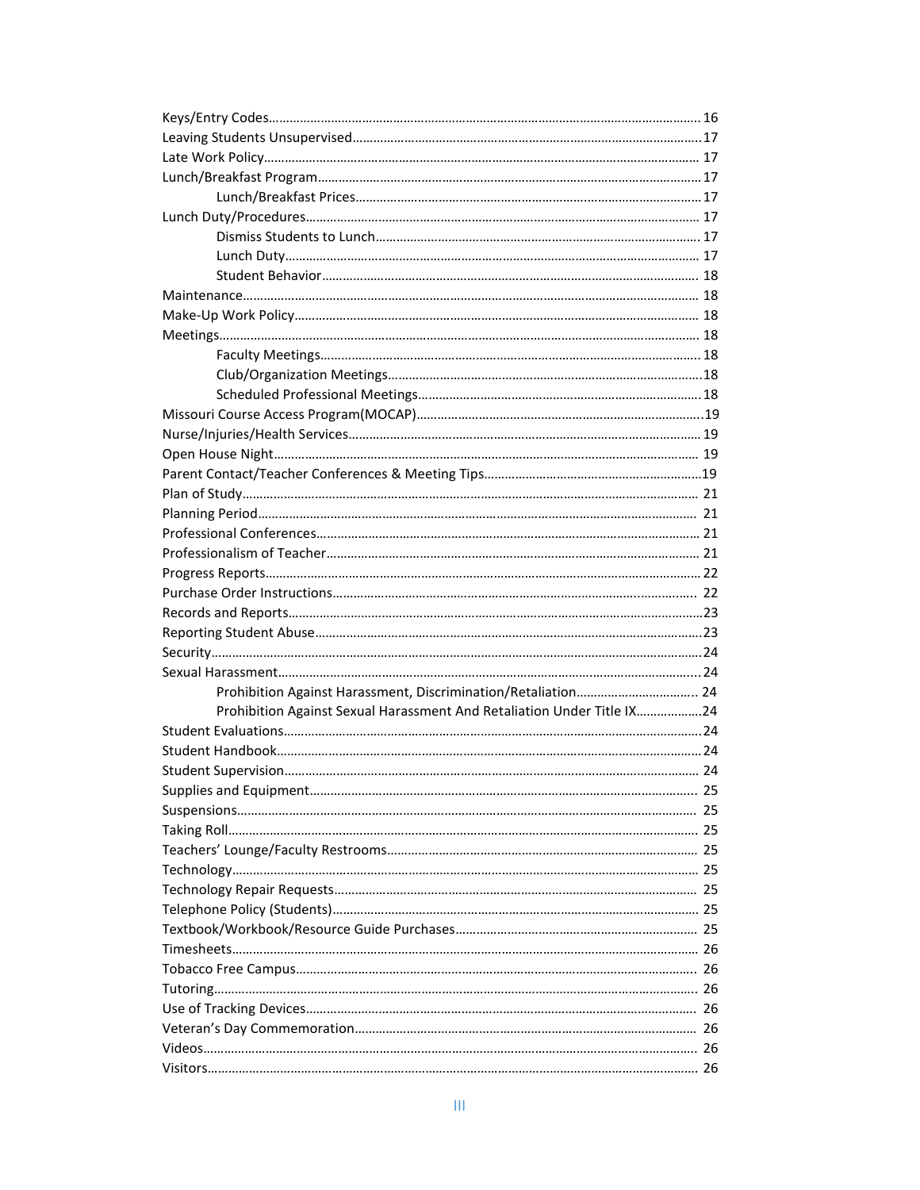| Prohibition Against Sexual Harassment And Retaliation Under Title IX24 |  |
|------------------------------------------------------------------------|--|
|                                                                        |  |
|                                                                        |  |
|                                                                        |  |
|                                                                        |  |
|                                                                        |  |
|                                                                        |  |
|                                                                        |  |
|                                                                        |  |
|                                                                        |  |
|                                                                        |  |
|                                                                        |  |
|                                                                        |  |
|                                                                        |  |
|                                                                        |  |
|                                                                        |  |
|                                                                        |  |
|                                                                        |  |
|                                                                        |  |
|                                                                        |  |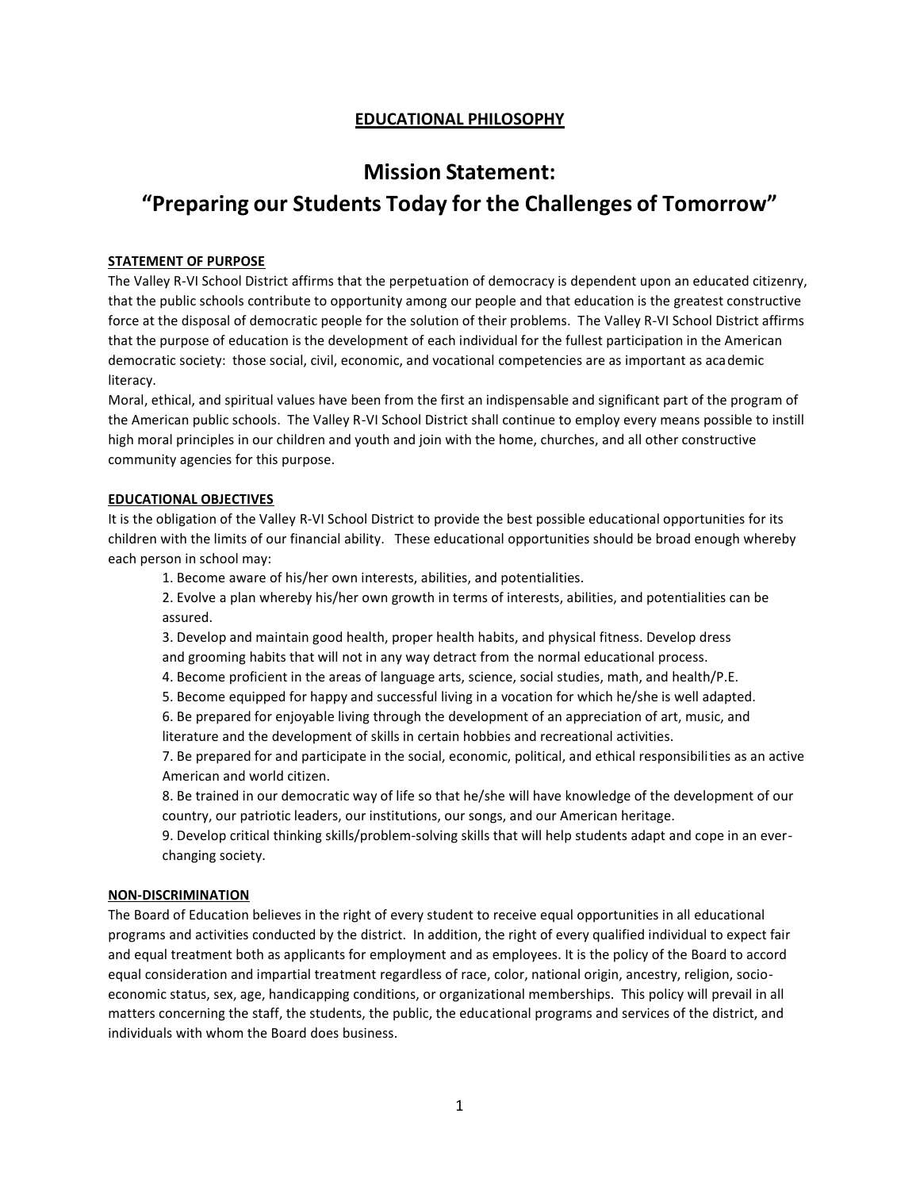## **EDUCATIONAL PHILOSOPHY**

# **Mission Statement: "Preparing our Students Today for the Challenges of Tomorrow"**

#### **STATEMENT OF PURPOSE**

The Valley R-VI School District affirms that the perpetuation of democracy is dependent upon an educated citizenry, that the public schools contribute to opportunity among our people and that education is the greatest constructive force at the disposal of democratic people for the solution of their problems. The Valley R-VI School District affirms that the purpose of education is the development of each individual for the fullest participation in the American democratic society: those social, civil, economic, and vocational competencies are as important as academic literacy.

Moral, ethical, and spiritual values have been from the first an indispensable and significant part of the program of the American public schools. The Valley R-VI School District shall continue to employ every means possible to instill high moral principles in our children and youth and join with the home, churches, and all other constructive community agencies for this purpose.

#### **EDUCATIONAL OBJECTIVES**

It is the obligation of the Valley R-VI School District to provide the best possible educational opportunities for its children with the limits of our financial ability. These educational opportunities should be broad enough whereby each person in school may:

1. Become aware of his/her own interests, abilities, and potentialities.

2. Evolve a plan whereby his/her own growth in terms of interests, abilities, and potentialities can be assured.

3. Develop and maintain good health, proper health habits, and physical fitness. Develop dress and grooming habits that will not in any way detract from the normal educational process.

4. Become proficient in the areas of language arts, science, social studies, math, and health/P.E.

5. Become equipped for happy and successful living in a vocation for which he/she is well adapted.

6. Be prepared for enjoyable living through the development of an appreciation of art, music, and literature and the development of skills in certain hobbies and recreational activities.

7. Be prepared for and participate in the social, economic, political, and ethical responsibilities as an active American and world citizen.

8. Be trained in our democratic way of life so that he/she will have knowledge of the development of our country, our patriotic leaders, our institutions, our songs, and our American heritage.

9. Develop critical thinking skills/problem-solving skills that will help students adapt and cope in an everchanging society.

#### **NON-DISCRIMINATION**

The Board of Education believes in the right of every student to receive equal opportunities in all educational programs and activities conducted by the district. In addition, the right of every qualified individual to expect fair and equal treatment both as applicants for employment and as employees. It is the policy of the Board to accord equal consideration and impartial treatment regardless of race, color, national origin, ancestry, religion, socioeconomic status, sex, age, handicapping conditions, or organizational memberships. This policy will prevail in all matters concerning the staff, the students, the public, the educational programs and services of the district, and individuals with whom the Board does business.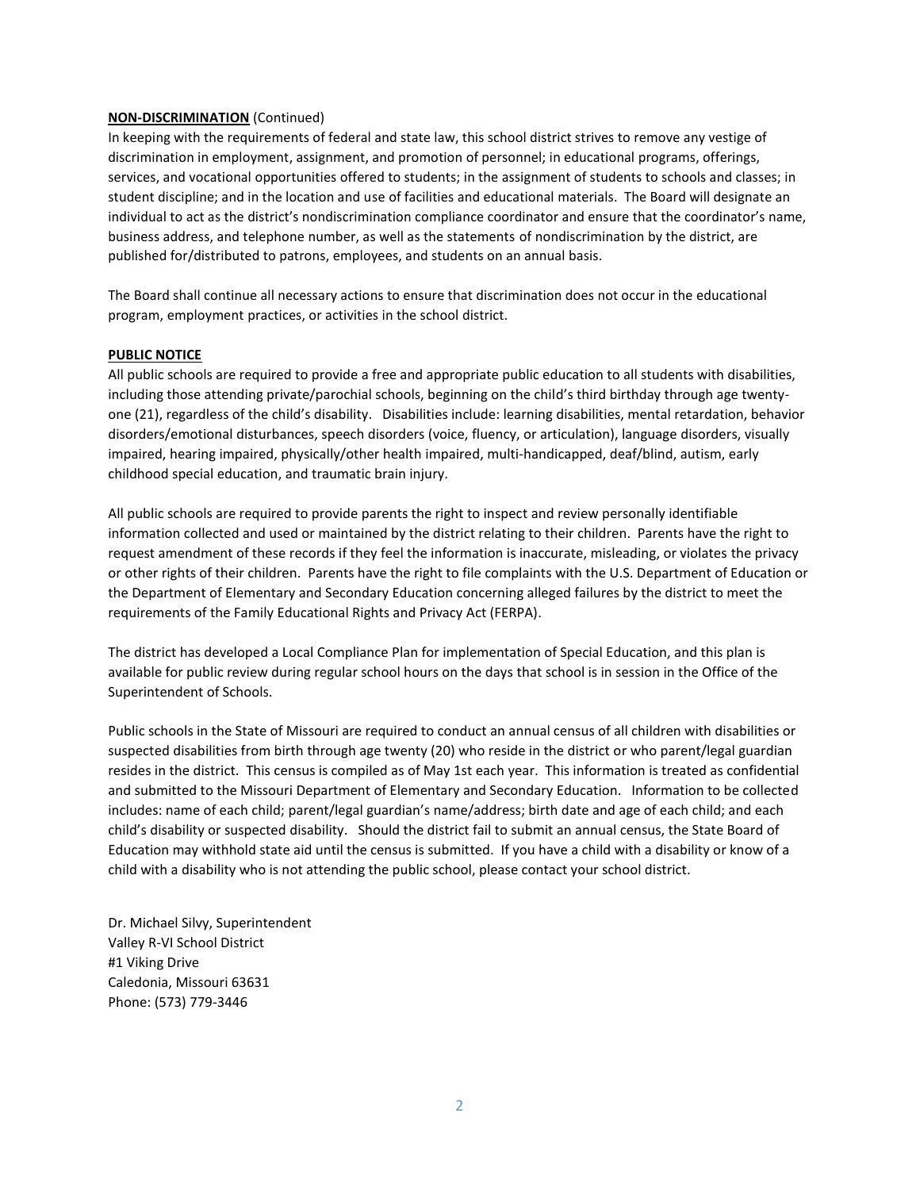#### **NON-DISCRIMINATION** (Continued)

In keeping with the requirements of federal and state law, this school district strives to remove any vestige of discrimination in employment, assignment, and promotion of personnel; in educational programs, offerings, services, and vocational opportunities offered to students; in the assignment of students to schools and classes; in student discipline; and in the location and use of facilities and educational materials. The Board will designate an individual to act as the district's nondiscrimination compliance coordinator and ensure that the coordinator's name, business address, and telephone number, as well as the statements of nondiscrimination by the district, are published for/distributed to patrons, employees, and students on an annual basis.

The Board shall continue all necessary actions to ensure that discrimination does not occur in the educational program, employment practices, or activities in the school district.

#### **PUBLIC NOTICE**

All public schools are required to provide a free and appropriate public education to all students with disabilities, including those attending private/parochial schools, beginning on the child's third birthday through age twentyone (21), regardless of the child's disability. Disabilities include: learning disabilities, mental retardation, behavior disorders/emotional disturbances, speech disorders (voice, fluency, or articulation), language disorders, visually impaired, hearing impaired, physically/other health impaired, multi-handicapped, deaf/blind, autism, early childhood special education, and traumatic brain injury.

All public schools are required to provide parents the right to inspect and review personally identifiable information collected and used or maintained by the district relating to their children. Parents have the right to request amendment of these records if they feel the information is inaccurate, misleading, or violates the privacy or other rights of their children. Parents have the right to file complaints with the U.S. Department of Education or the Department of Elementary and Secondary Education concerning alleged failures by the district to meet the requirements of the Family Educational Rights and Privacy Act (FERPA).

The district has developed a Local Compliance Plan for implementation of Special Education, and this plan is available for public review during regular school hours on the days that school is in session in the Office of the Superintendent of Schools.

Public schools in the State of Missouri are required to conduct an annual census of all children with disabilities or suspected disabilities from birth through age twenty (20) who reside in the district or who parent/legal guardian resides in the district. This census is compiled as of May 1st each year. This information is treated as confidential and submitted to the Missouri Department of Elementary and Secondary Education. Information to be collected includes: name of each child; parent/legal guardian's name/address; birth date and age of each child; and each child's disability or suspected disability. Should the district fail to submit an annual census, the State Board of Education may withhold state aid until the census is submitted. If you have a child with a disability or know of a child with a disability who is not attending the public school, please contact your school district.

Dr. Michael Silvy, Superintendent Valley R-VI School District #1 Viking Drive Caledonia, Missouri 63631 Phone: (573) 779-3446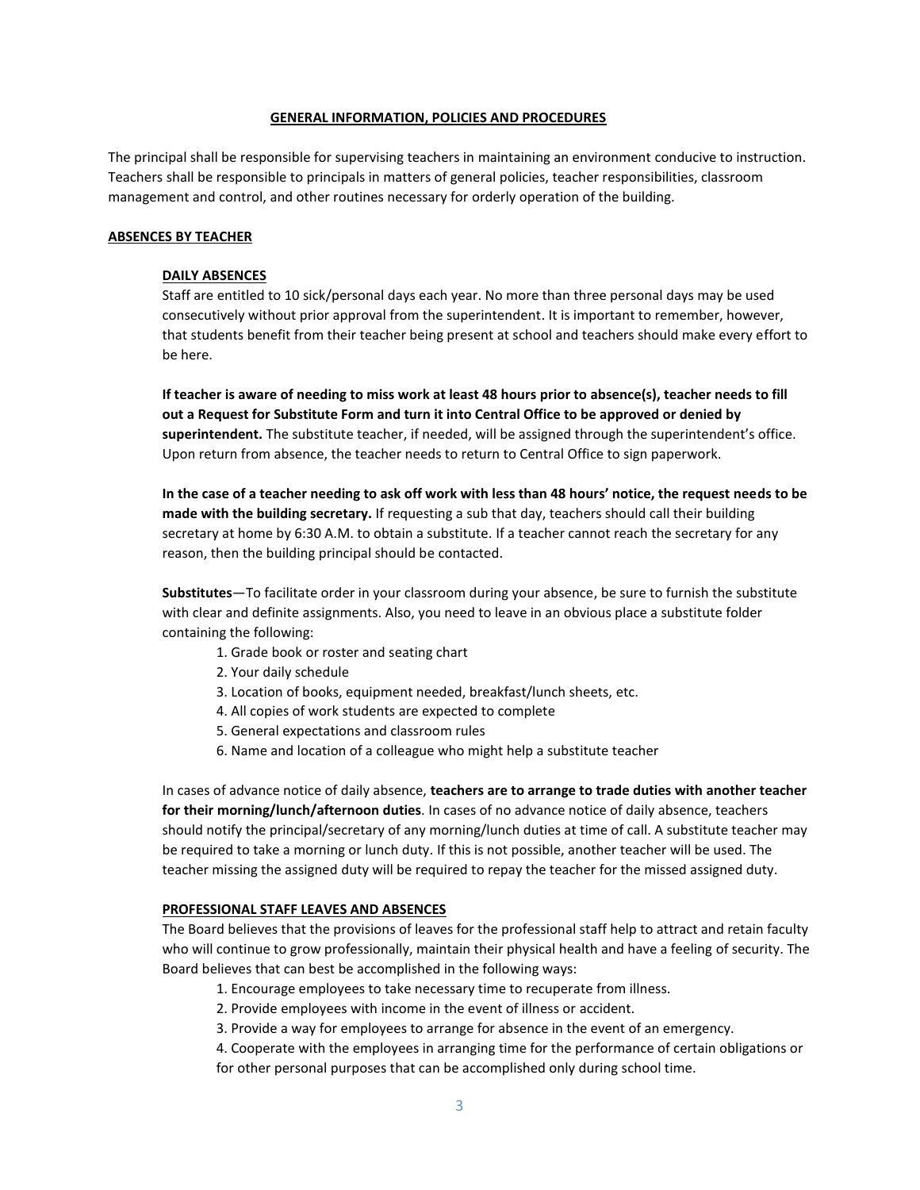#### **GENERAL INFORMATION, POLICIES AND PROCEDURES**

The principal shall be responsible for supervising teachers in maintaining an environment conducive to instruction. Teachers shall be responsible to principals in matters of general policies, teacher responsibilities, classroom management and control, and other routines necessary for orderly operation of the building.

#### **ABSENCES BY TEACHER**

#### **DAILY ABSENCES**

Staff are entitled to 10 sick/personal days each year. No more than three personal days may be used consecutively without prior approval from the superintendent. It is important to remember, however, that students benefit from their teacher being present at school and teachers should make every effort to be here.

**If teacher is aware of needing to miss work at least 48 hours prior to absence(s), teacher needs to fill out a Request for Substitute Form and turn it into Central Office to be approved or denied by superintendent.** The substitute teacher, if needed, will be assigned through the superintendent's office. Upon return from absence, the teacher needs to return to Central Office to sign paperwork.

**In the case of a teacher needing to ask off work with less than 48 hours' notice, the request needs to be made with the building secretary.** If requesting a sub that day, teachers should call their building secretary at home by 6:30 A.M. to obtain a substitute. If a teacher cannot reach the secretary for any reason, then the building principal should be contacted.

**Substitutes**—To facilitate order in your classroom during your absence, be sure to furnish the substitute with clear and definite assignments. Also, you need to leave in an obvious place a substitute folder containing the following:

- 1. Grade book or roster and seating chart
- 2. Your daily schedule
- 3. Location of books, equipment needed, breakfast/lunch sheets, etc.
- 4. All copies of work students are expected to complete
- 5. General expectations and classroom rules
- 6. Name and location of a colleague who might help a substitute teacher

In cases of advance notice of daily absence, **teachers are to arrange to trade duties with another teacher for their morning/lunch/afternoon duties**. In cases of no advance notice of daily absence, teachers should notify the principal/secretary of any morning/lunch duties at time of call. A substitute teacher may be required to take a morning or lunch duty. If this is not possible, another teacher will be used. The teacher missing the assigned duty will be required to repay the teacher for the missed assigned duty.

#### **PROFESSIONAL STAFF LEAVES AND ABSENCES**

The Board believes that the provisions of leaves for the professional staff help to attract and retain faculty who will continue to grow professionally, maintain their physical health and have a feeling of security. The Board believes that can best be accomplished in the following ways:

- 1. Encourage employees to take necessary time to recuperate from illness.
- 2. Provide employees with income in the event of illness or accident.
- 3. Provide a way for employees to arrange for absence in the event of an emergency.
- 4. Cooperate with the employees in arranging time for the performance of certain obligations or for other personal purposes that can be accomplished only during school time.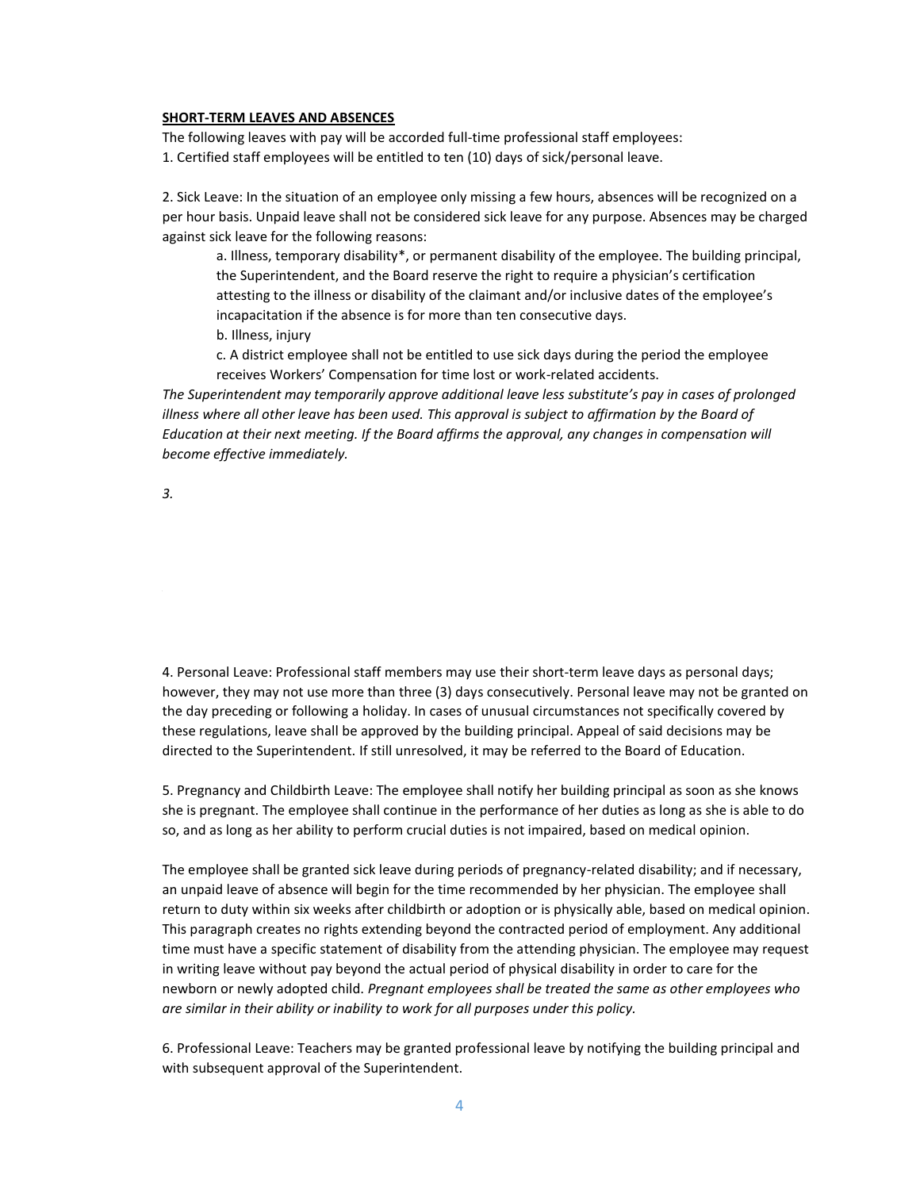#### **SHORT-TERM LEAVES AND ABSENCES**

The following leaves with pay will be accorded full-time professional staff employees:

1. Certified staff employees will be entitled to ten (10) days of sick/personal leave.

2. Sick Leave: In the situation of an employee only missing a few hours, absences will be recognized on a per hour basis. Unpaid leave shall not be considered sick leave for any purpose. Absences may be charged against sick leave for the following reasons:

a. Illness, temporary disability\*, or permanent disability of the employee. The building principal, the Superintendent, and the Board reserve the right to require a physician's certification attesting to the illness or disability of the claimant and/or inclusive dates of the employee's incapacitation if the absence is for more than ten consecutive days.

b. Illness, injury

c. A district employee shall not be entitled to use sick days during the period the employee receives Workers' Compensation for time lost or work-related accidents.

*The Superintendent may temporarily approve additional leave less substitute's pay in cases of prolonged*  illness where all other leave has been used. This approval is subject to affirmation by the Board of *Education at their next meeting. If the Board affirms the approval, any changes in compensation will become effective immediately.* 

*3.* Bereave- Employees shall be entitled to since  $\mathbb{R}$  and  $\mathbb{R}$  defined to since  $\mathbb{R}$  defined to since  $\mathbb{R}$  and  $\mathbb{R}$  defined to since  $\mathbb{R}$  and  $\mathbb{R}$  defined to since  $\mathbb{R}$  and  $\mathbb{R}$  defin

4. Personal Leave: Professional staff members may use their short-term leave days as personal days; however, they may not use more than three (3) days consecutively. Personal leave may not be granted on the day preceding or following a holiday. In cases of unusual circumstances not specifically covered by these regulations, leave shall be approved by the building principal. Appeal of said decisions may be directed to the Superintendent. If still unresolved, it may be referred to the Board of Education.

5. Pregnancy and Childbirth Leave: The employee shall notify her building principal as soon as she knows she is pregnant. The employee shall continue in the performance of her duties as long as she is able to do so, and as long as her ability to perform crucial duties is not impaired, based on medical opinion.

The employee shall be granted sick leave during periods of pregnancy-related disability; and if necessary, an unpaid leave of absence will begin for the time recommended by her physician. The employee shall return to duty within six weeks after childbirth or adoption or is physically able, based on medical opinion. This paragraph creates no rights extending beyond the contracted period of employment. Any additional time must have a specific statement of disability from the attending physician. The employee may request in writing leave without pay beyond the actual period of physical disability in order to care for the newborn or newly adopted child. *Pregnant employees shall be treated the same as other employees who are similar in their ability or inability to work for all purposes under this policy.*

6. Professional Leave: Teachers may be granted professional leave by notifying the building principal and with subsequent approval of the Superintendent.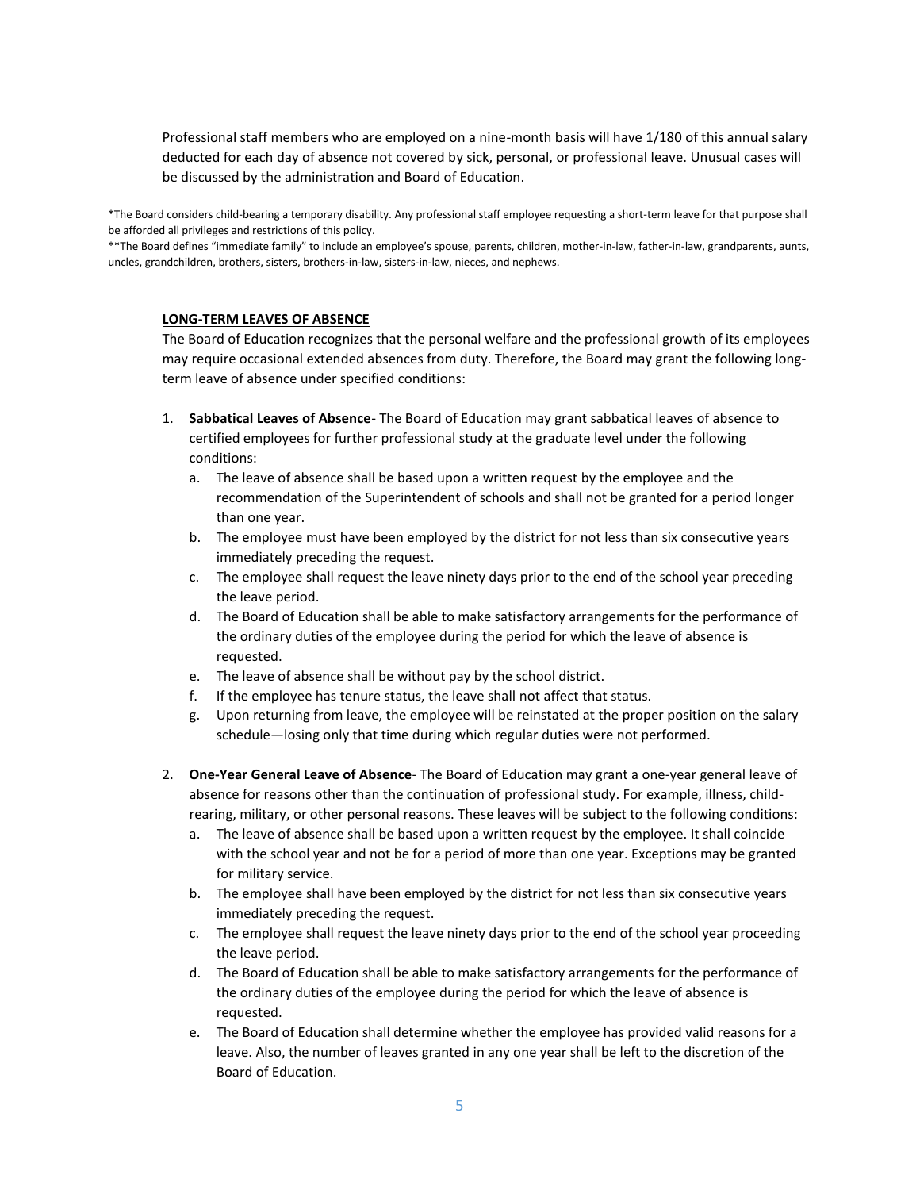Professional staff members who are employed on a nine-month basis will have 1/180 of this annual salary deducted for each day of absence not covered by sick, personal, or professional leave. Unusual cases will be discussed by the administration and Board of Education.

\*The Board considers child-bearing a temporary disability. Any professional staff employee requesting a short-term leave for that purpose shall be afforded all privileges and restrictions of this policy.

\*\*The Board defines "immediate family" to include an employee's spouse, parents, children, mother-in-law, father-in-law, grandparents, aunts, uncles, grandchildren, brothers, sisters, brothers-in-law, sisters-in-law, nieces, and nephews.

#### **LONG-TERM LEAVES OF ABSENCE**

The Board of Education recognizes that the personal welfare and the professional growth of its employees may require occasional extended absences from duty. Therefore, the Board may grant the following longterm leave of absence under specified conditions:

- 1. **Sabbatical Leaves of Absence** The Board of Education may grant sabbatical leaves of absence to certified employees for further professional study at the graduate level under the following conditions:
	- a. The leave of absence shall be based upon a written request by the employee and the recommendation of the Superintendent of schools and shall not be granted for a period longer than one year.
	- b. The employee must have been employed by the district for not less than six consecutive years immediately preceding the request.
	- c. The employee shall request the leave ninety days prior to the end of the school year preceding the leave period.
	- d. The Board of Education shall be able to make satisfactory arrangements for the performance of the ordinary duties of the employee during the period for which the leave of absence is requested.
	- e. The leave of absence shall be without pay by the school district.
	- f. If the employee has tenure status, the leave shall not affect that status.
	- g. Upon returning from leave, the employee will be reinstated at the proper position on the salary schedule—losing only that time during which regular duties were not performed.
- 2. **One-Year General Leave of Absence** The Board of Education may grant a one-year general leave of absence for reasons other than the continuation of professional study. For example, illness, childrearing, military, or other personal reasons. These leaves will be subject to the following conditions:
	- a. The leave of absence shall be based upon a written request by the employee. It shall coincide with the school year and not be for a period of more than one year. Exceptions may be granted for military service.
	- b. The employee shall have been employed by the district for not less than six consecutive years immediately preceding the request.
	- c. The employee shall request the leave ninety days prior to the end of the school year proceeding the leave period.
	- d. The Board of Education shall be able to make satisfactory arrangements for the performance of the ordinary duties of the employee during the period for which the leave of absence is requested.
	- e. The Board of Education shall determine whether the employee has provided valid reasons for a leave. Also, the number of leaves granted in any one year shall be left to the discretion of the Board of Education.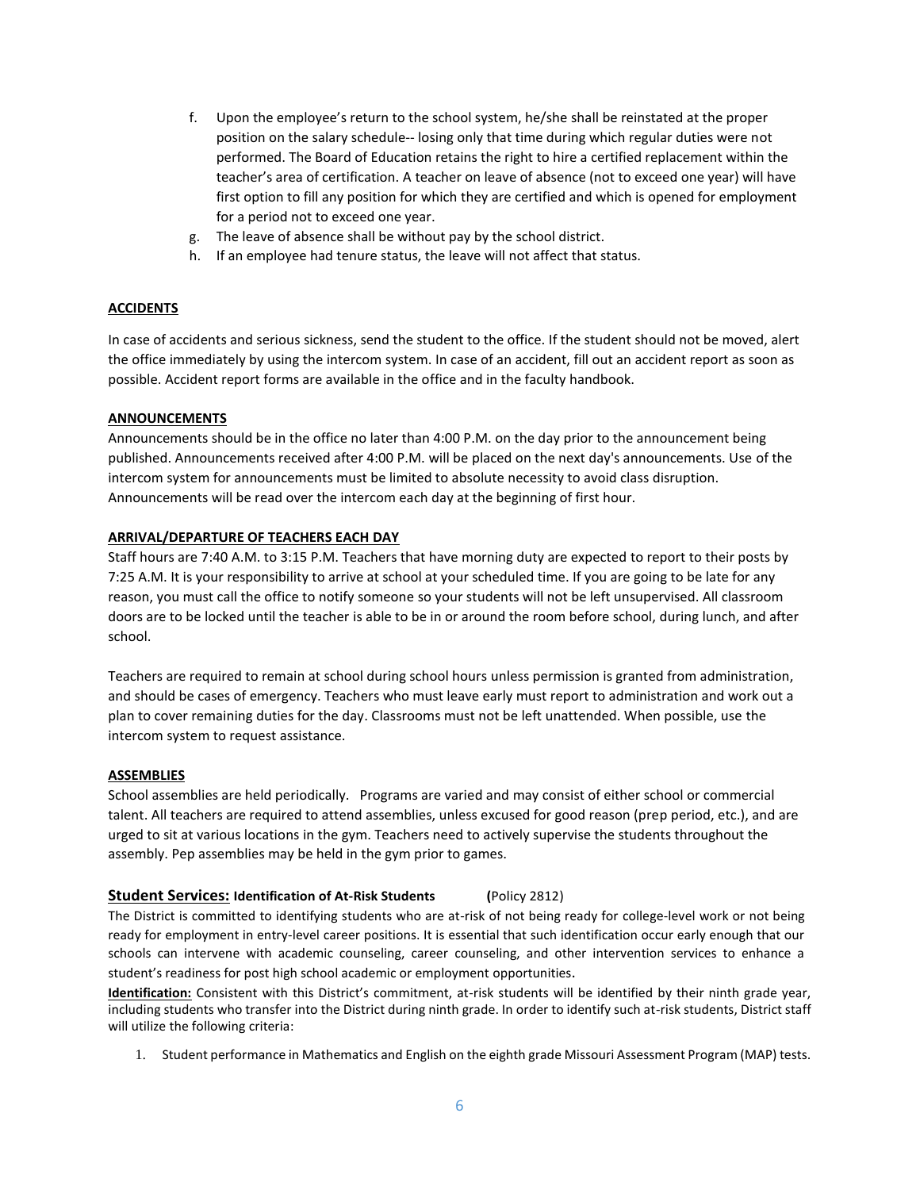- f. Upon the employee's return to the school system, he/she shall be reinstated at the proper position on the salary schedule-- losing only that time during which regular duties were not performed. The Board of Education retains the right to hire a certified replacement within the teacher's area of certification. A teacher on leave of absence (not to exceed one year) will have first option to fill any position for which they are certified and which is opened for employment for a period not to exceed one year.
- g. The leave of absence shall be without pay by the school district.
- h. If an employee had tenure status, the leave will not affect that status.

#### **ACCIDENTS**

In case of accidents and serious sickness, send the student to the office. If the student should not be moved, alert the office immediately by using the intercom system. In case of an accident, fill out an accident report as soon as possible. Accident report forms are available in the office and in the faculty handbook.

#### **ANNOUNCEMENTS**

Announcements should be in the office no later than 4:00 P.M. on the day prior to the announcement being published. Announcements received after 4:00 P.M. will be placed on the next day's announcements. Use of the intercom system for announcements must be limited to absolute necessity to avoid class disruption. Announcements will be read over the intercom each day at the beginning of first hour.

#### **ARRIVAL/DEPARTURE OF TEACHERS EACH DAY**

Staff hours are 7:40 A.M. to 3:15 P.M. Teachers that have morning duty are expected to report to their posts by 7:25 A.M. It is your responsibility to arrive at school at your scheduled time. If you are going to be late for any reason, you must call the office to notify someone so your students will not be left unsupervised. All classroom doors are to be locked until the teacher is able to be in or around the room before school, during lunch, and after school.

Teachers are required to remain at school during school hours unless permission is granted from administration, and should be cases of emergency. Teachers who must leave early must report to administration and work out a plan to cover remaining duties for the day. Classrooms must not be left unattended. When possible, use the intercom system to request assistance.

#### **ASSEMBLIES**

School assemblies are held periodically. Programs are varied and may consist of either school or commercial talent. All teachers are required to attend assemblies, unless excused for good reason (prep period, etc.), and are urged to sit at various locations in the gym. Teachers need to actively supervise the students throughout the assembly. Pep assemblies may be held in the gym prior to games.

#### **Student Services: Identification of At-Risk Students (**Policy 2812)

The District is committed to identifying students who are at-risk of not being ready for college-level work or not being ready for employment in entry-level career positions. It is essential that such identification occur early enough that our schools can intervene with academic counseling, career counseling, and other intervention services to enhance a student's readiness for post high school academic or employment opportunities.

**Identification:** Consistent with this District's commitment, at-risk students will be identified by their ninth grade year, including students who transfer into the District during ninth grade. In order to identify such at-risk students, District staff will utilize the following criteria:

1. Student performance in Mathematics and English on the eighth grade Missouri Assessment Program (MAP) tests.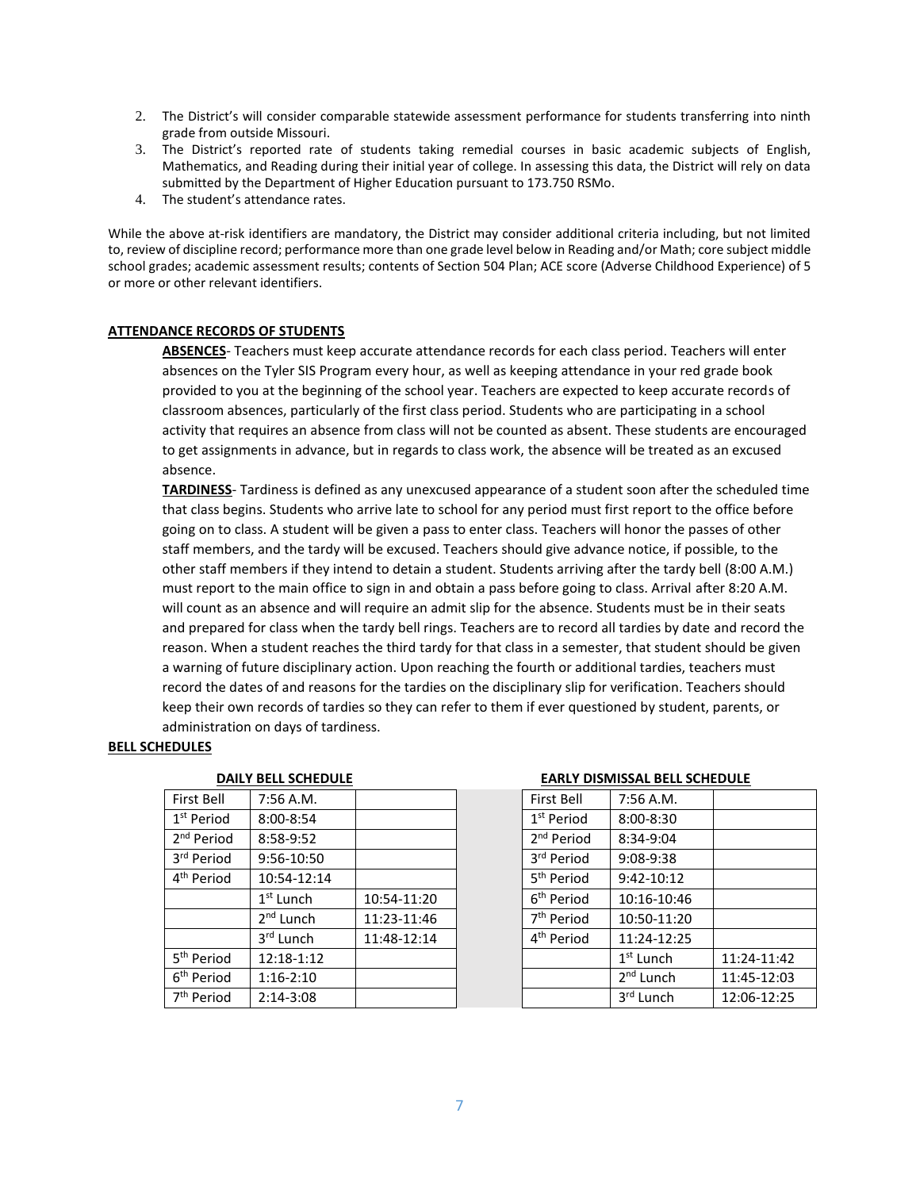- 2. The District's will consider comparable statewide assessment performance for students transferring into ninth grade from outside Missouri.
- 3. The District's reported rate of students taking remedial courses in basic academic subjects of English, Mathematics, and Reading during their initial year of college. In assessing this data, the District will rely on data submitted by the Department of Higher Education pursuant to 173.750 RSMo.
- 4. The student's attendance rates.

While the above at-risk identifiers are mandatory, the District may consider additional criteria including, but not limited to, review of discipline record; performance more than one grade level below in Reading and/or Math; core subject middle school grades; academic assessment results; contents of Section 504 Plan; ACE score (Adverse Childhood Experience) of 5 or more or other relevant identifiers.

#### **ATTENDANCE RECORDS OF STUDENTS**

**ABSENCES**- Teachers must keep accurate attendance records for each class period. Teachers will enter absences on the Tyler SIS Program every hour, as well as keeping attendance in your red grade book provided to you at the beginning of the school year. Teachers are expected to keep accurate records of classroom absences, particularly of the first class period. Students who are participating in a school activity that requires an absence from class will not be counted as absent. These students are encouraged to get assignments in advance, but in regards to class work, the absence will be treated as an excused absence.

**TARDINESS**- Tardiness is defined as any unexcused appearance of a student soon after the scheduled time that class begins. Students who arrive late to school for any period must first report to the office before going on to class. A student will be given a pass to enter class. Teachers will honor the passes of other staff members, and the tardy will be excused. Teachers should give advance notice, if possible, to the other staff members if they intend to detain a student. Students arriving after the tardy bell (8:00 A.M.) must report to the main office to sign in and obtain a pass before going to class. Arrival after 8:20 A.M. will count as an absence and will require an admit slip for the absence. Students must be in their seats and prepared for class when the tardy bell rings. Teachers are to record all tardies by date and record the reason. When a student reaches the third tardy for that class in a semester, that student should be given a warning of future disciplinary action. Upon reaching the fourth or additional tardies, teachers must record the dates of and reasons for the tardies on the disciplinary slip for verification. Teachers should keep their own records of tardies so they can refer to them if ever questioned by student, parents, or administration on days of tardiness.

#### **BELL SCHEDULES**

|                        | <b>DAILY BELL SCHEDULE</b> |             |                        | <b>EARLY DISMISSAL BELL SO</b> |
|------------------------|----------------------------|-------------|------------------------|--------------------------------|
| First Bell             | 7:56 A.M.                  |             | First Bell             | $7:56$ A.M.                    |
| 1 <sup>st</sup> Period | $8:00 - 8:54$              |             | 1 <sup>st</sup> Period | $8:00 - 8:30$                  |
| 2 <sup>nd</sup> Period | 8:58-9:52                  |             | 2 <sup>nd</sup> Period | 8:34-9:04                      |
| 3rd Period             | 9:56-10:50                 |             | 3rd Period             | $9:08-9:38$                    |
| 4 <sup>th</sup> Period | 10:54-12:14                |             | 5 <sup>th</sup> Period | $9:42-10:12$                   |
|                        | $1st$ Lunch                | 10:54-11:20 | 6 <sup>th</sup> Period | 10:16-10:46                    |
|                        | $2nd$ Lunch                | 11:23-11:46 | 7 <sup>th</sup> Period | 10:50-11:20                    |
|                        | 3rd Lunch                  | 11:48-12:14 | 4 <sup>th</sup> Period | 11:24-12:25                    |
| 5 <sup>th</sup> Period | 12:18-1:12                 |             |                        | $1st$ Lunch                    |
| 6 <sup>th</sup> Period | $1:16-2:10$                |             |                        | $2nd$ Lunch                    |
| 7 <sup>th</sup> Period | $2:14-3:08$                |             |                        | 3rd Lunch                      |

#### **EARLY DISMISSAL BELL SCHEDULE**

| First Bell             | 7:56A.M.              |             |  |
|------------------------|-----------------------|-------------|--|
| 1 <sup>st</sup> Period | $8:00 - 8:30$         |             |  |
| 2 <sup>nd</sup> Period | 8:34-9:04             |             |  |
| 3rd Period             | 9:08-9:38             |             |  |
| 5 <sup>th</sup> Period | $9:42-10:12$          |             |  |
| 6 <sup>th</sup> Period | 10:16-10:46           |             |  |
| 7 <sup>th</sup> Period | 10:50-11:20           |             |  |
| 4 <sup>th</sup> Period | 11:24-12:25           |             |  |
|                        | $1st$ Lunch           | 11:24-11:42 |  |
|                        | 2 <sup>nd</sup> Lunch | 11:45-12:03 |  |
|                        | 3rd Lunch             | 12:06-12:25 |  |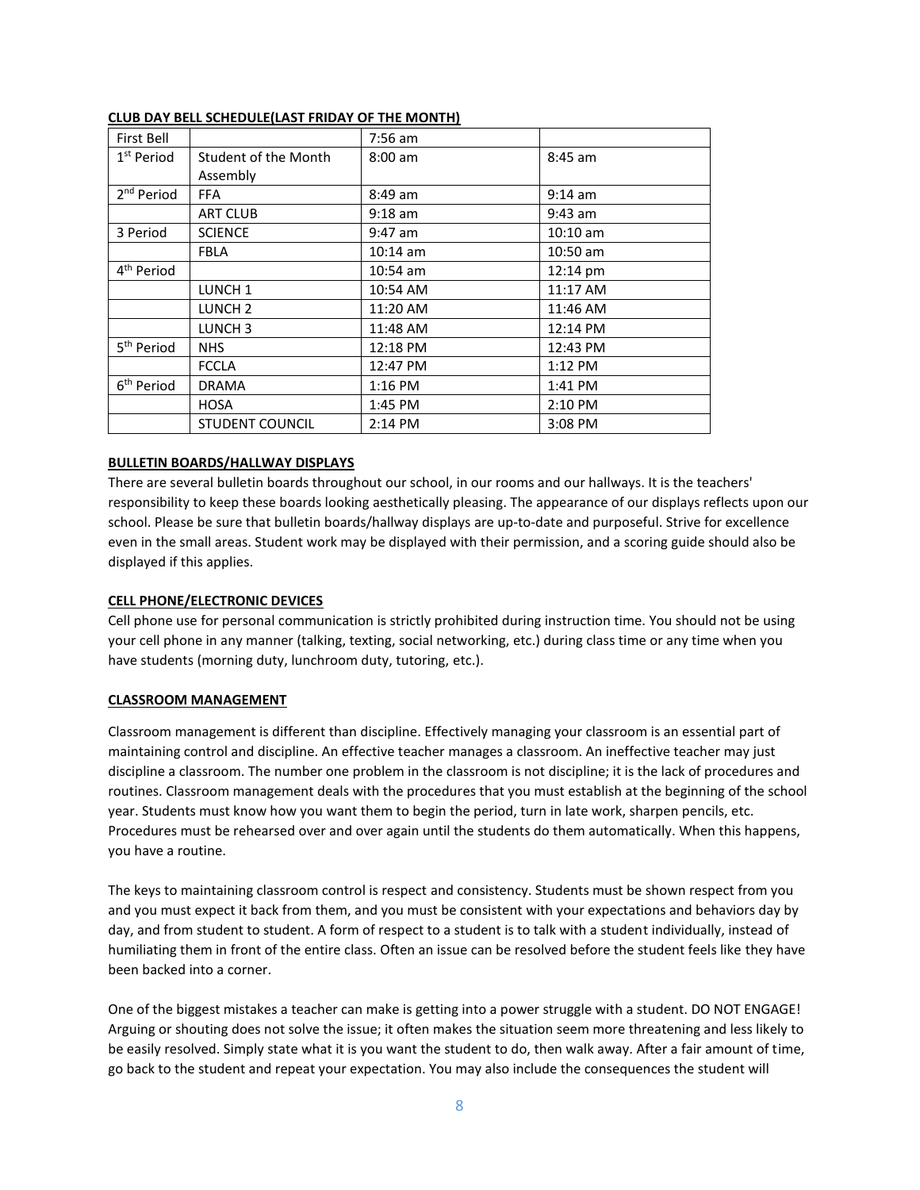| First Bell             |                        | $7:56$ am          |                    |
|------------------------|------------------------|--------------------|--------------------|
| 1 <sup>st</sup> Period | Student of the Month   | $8:00$ am          | $8:45$ am          |
|                        | Assembly               |                    |                    |
| 2 <sup>nd</sup> Period | <b>FFA</b>             | $8:49$ am          | $9:14$ am          |
|                        | <b>ART CLUB</b>        | $9:18$ am          | $9:43$ am          |
| 3 Period               | <b>SCIENCE</b>         | $9:47$ am          | $10:10 \text{ am}$ |
|                        | <b>FBLA</b>            | $10:14 \text{ am}$ | 10:50 am           |
| 4 <sup>th</sup> Period |                        | $10:54 \text{ am}$ | 12:14 pm           |
|                        | LUNCH <sub>1</sub>     | 10:54 AM           | 11:17 AM           |
|                        | LUNCH <sub>2</sub>     | 11:20 AM           | 11:46 AM           |
|                        | LUNCH <sub>3</sub>     | 11:48 AM           | 12:14 PM           |
| 5 <sup>th</sup> Period | <b>NHS</b>             | 12:18 PM           | 12:43 PM           |
|                        | <b>FCCLA</b>           | 12:47 PM           | 1:12 PM            |
| 6 <sup>th</sup> Period | <b>DRAMA</b>           | $1:16$ PM          | 1:41 PM            |
|                        | <b>HOSA</b>            | 1:45 PM            | 2:10 PM            |
|                        | <b>STUDENT COUNCIL</b> | 2:14 PM            | 3:08 PM            |

#### **CLUB DAY BELL SCHEDULE(LAST FRIDAY OF THE MONTH)**

#### **BULLETIN BOARDS/HALLWAY DISPLAYS**

There are several bulletin boards throughout our school, in our rooms and our hallways. It is the teachers' responsibility to keep these boards looking aesthetically pleasing. The appearance of our displays reflects upon our school. Please be sure that bulletin boards/hallway displays are up-to-date and purposeful. Strive for excellence even in the small areas. Student work may be displayed with their permission, and a scoring guide should also be displayed if this applies.

#### **CELL PHONE/ELECTRONIC DEVICES**

Cell phone use for personal communication is strictly prohibited during instruction time. You should not be using your cell phone in any manner (talking, texting, social networking, etc.) during class time or any time when you have students (morning duty, lunchroom duty, tutoring, etc.).

#### **CLASSROOM MANAGEMENT**

Classroom management is different than discipline. Effectively managing your classroom is an essential part of maintaining control and discipline. An effective teacher manages a classroom. An ineffective teacher may just discipline a classroom. The number one problem in the classroom is not discipline; it is the lack of procedures and routines. Classroom management deals with the procedures that you must establish at the beginning of the school year. Students must know how you want them to begin the period, turn in late work, sharpen pencils, etc. Procedures must be rehearsed over and over again until the students do them automatically. When this happens, you have a routine.

The keys to maintaining classroom control is respect and consistency. Students must be shown respect from you and you must expect it back from them, and you must be consistent with your expectations and behaviors day by day, and from student to student. A form of respect to a student is to talk with a student individually, instead of humiliating them in front of the entire class. Often an issue can be resolved before the student feels like they have been backed into a corner.

One of the biggest mistakes a teacher can make is getting into a power struggle with a student. DO NOT ENGAGE! Arguing or shouting does not solve the issue; it often makes the situation seem more threatening and less likely to be easily resolved. Simply state what it is you want the student to do, then walk away. After a fair amount of time, go back to the student and repeat your expectation. You may also include the consequences the student will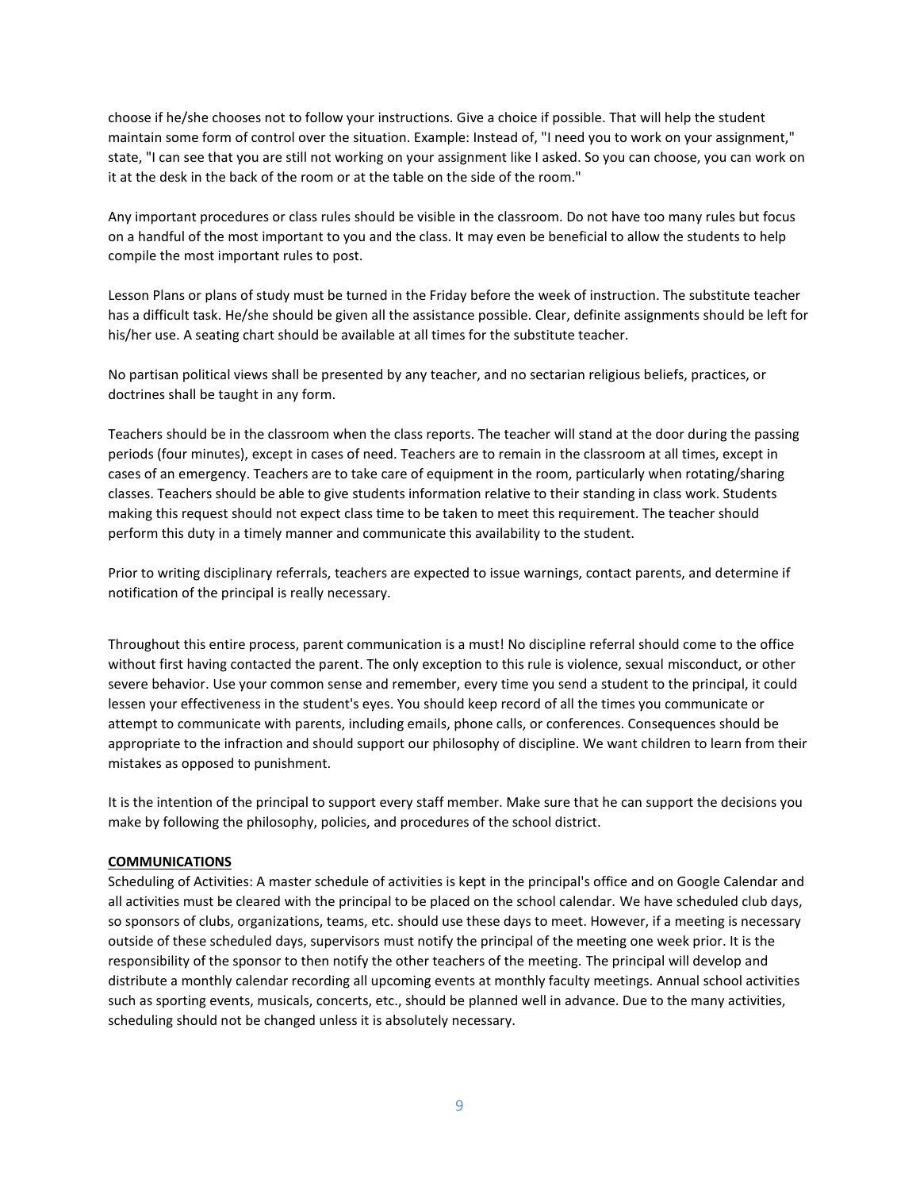choose if he/she chooses not to follow your instructions. Give a choice if possible. That will help the student maintain some form of control over the situation. Example: Instead of, "I need you to work on your assignment," state, "I can see that you are still not working on your assignment like I asked. So you can choose, you can work on it at the desk in the back of the room or at the table on the side of the room."

Any important procedures or class rules should be visible in the classroom. Do not have too many rules but focus on a handful of the most important to you and the class. It may even be beneficial to allow the students to help compile the most important rules to post.

Lesson Plans or plans of study must be turned in the Friday before the week of instruction. The substitute teacher has a difficult task. He/she should be given all the assistance possible. Clear, definite assignments should be left for his/her use. A seating chart should be available at all times for the substitute teacher.

No partisan political views shall be presented by any teacher, and no sectarian religious beliefs, practices, or doctrines shall be taught in any form.

Teachers should be in the classroom when the class reports. The teacher will stand at the door during the passing periods (four minutes), except in cases of need. Teachers are to remain in the classroom at all times, except in cases of an emergency. Teachers are to take care of equipment in the room, particularly when rotating/sharing classes. Teachers should be able to give students information relative to their standing in class work. Students making this request should not expect class time to be taken to meet this requirement. The teacher should perform this duty in a timely manner and communicate this availability to the student.

Prior to writing disciplinary referrals, teachers are expected to issue warnings, contact parents, and determine if notification of the principal is really necessary.

Throughout this entire process, parent communication is a must! No discipline referral should come to the office without first having contacted the parent. The only exception to this rule is violence, sexual misconduct, or other severe behavior. Use your common sense and remember, every time you send a student to the principal, it could lessen your effectiveness in the student's eyes. You should keep record of all the times you communicate or attempt to communicate with parents, including emails, phone calls, or conferences. Consequences should be appropriate to the infraction and should support our philosophy of discipline. We want children to learn from their mistakes as opposed to punishment.

It is the intention of the principal to support every staff member. Make sure that he can support the decisions you make by following the philosophy, policies, and procedures of the school district.

#### **COMMUNICATIONS**

Scheduling of Activities: A master schedule of activities is kept in the principal's office and on Google Calendar and all activities must be cleared with the principal to be placed on the school calendar. We have scheduled club days, so sponsors of clubs, organizations, teams, etc. should use these days to meet. However, if a meeting is necessary outside of these scheduled days, supervisors must notify the principal of the meeting one week prior. It is the responsibility of the sponsor to then notify the other teachers of the meeting. The principal will develop and distribute a monthly calendar recording all upcoming events at monthly faculty meetings. Annual school activities such as sporting events, musicals, concerts, etc., should be planned well in advance. Due to the many activities, scheduling should not be changed unless it is absolutely necessary.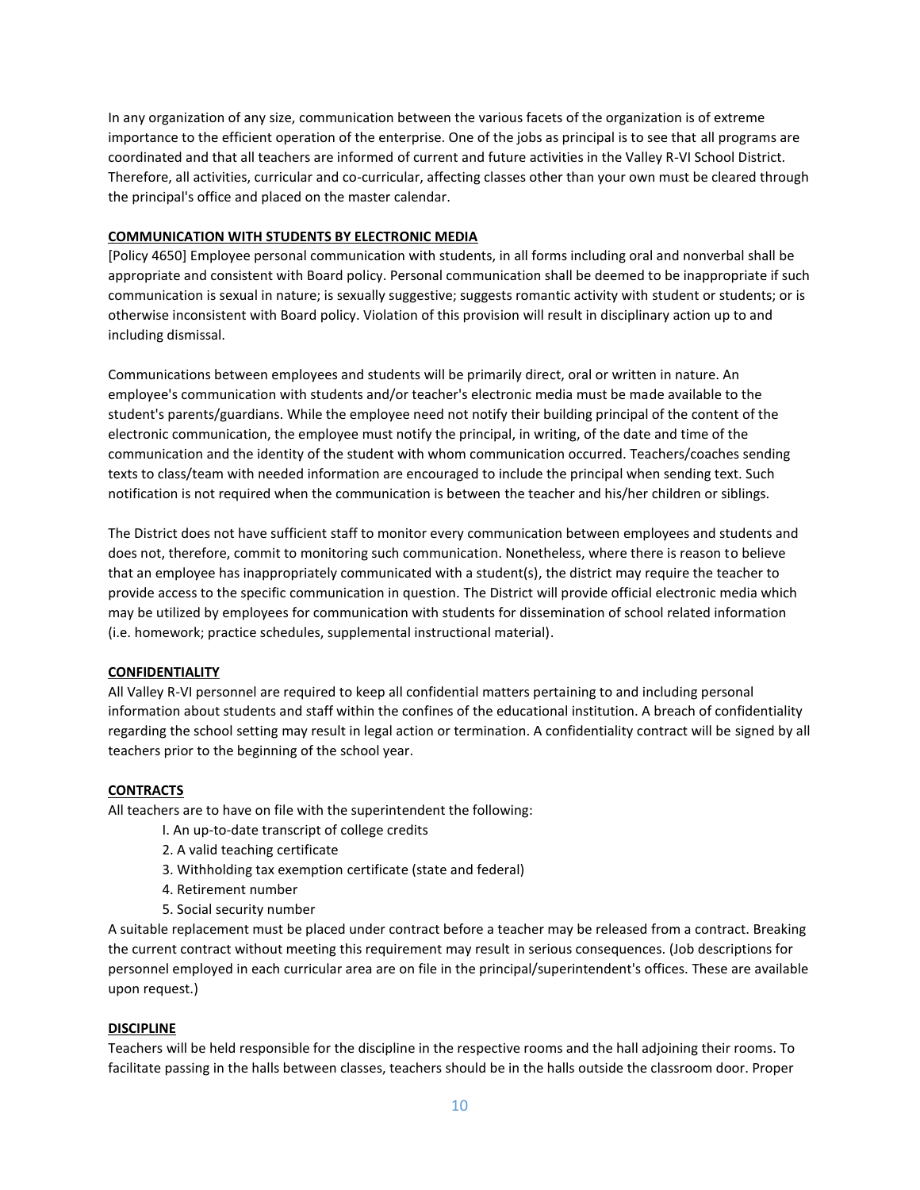In any organization of any size, communication between the various facets of the organization is of extreme importance to the efficient operation of the enterprise. One of the jobs as principal is to see that all programs are coordinated and that all teachers are informed of current and future activities in the Valley R-VI School District. Therefore, all activities, curricular and co-curricular, affecting classes other than your own must be cleared through the principal's office and placed on the master calendar.

#### **COMMUNICATION WITH STUDENTS BY ELECTRONIC MEDIA**

[Policy 4650] Employee personal communication with students, in all forms including oral and nonverbal shall be appropriate and consistent with Board policy. Personal communication shall be deemed to be inappropriate if such communication is sexual in nature; is sexually suggestive; suggests romantic activity with student or students; or is otherwise inconsistent with Board policy. Violation of this provision will result in disciplinary action up to and including dismissal.

Communications between employees and students will be primarily direct, oral or written in nature. An employee's communication with students and/or teacher's electronic media must be made available to the student's parents/guardians. While the employee need not notify their building principal of the content of the electronic communication, the employee must notify the principal, in writing, of the date and time of the communication and the identity of the student with whom communication occurred. Teachers/coaches sending texts to class/team with needed information are encouraged to include the principal when sending text. Such notification is not required when the communication is between the teacher and his/her children or siblings.

The District does not have sufficient staff to monitor every communication between employees and students and does not, therefore, commit to monitoring such communication. Nonetheless, where there is reason to believe that an employee has inappropriately communicated with a student(s), the district may require the teacher to provide access to the specific communication in question. The District will provide official electronic media which may be utilized by employees for communication with students for dissemination of school related information (i.e. homework; practice schedules, supplemental instructional material).

#### **CONFIDENTIALITY**

All Valley R-VI personnel are required to keep all confidential matters pertaining to and including personal information about students and staff within the confines of the educational institution. A breach of confidentiality regarding the school setting may result in legal action or termination. A confidentiality contract will be signed by all teachers prior to the beginning of the school year.

#### **CONTRACTS**

All teachers are to have on file with the superintendent the following:

- I. An up-to-date transcript of college credits
- 2. A valid teaching certificate
- 3. Withholding tax exemption certificate (state and federal)
- 4. Retirement number
- 5. Social security number

A suitable replacement must be placed under contract before a teacher may be released from a contract. Breaking the current contract without meeting this requirement may result in serious consequences. (Job descriptions for personnel employed in each curricular area are on file in the principal/superintendent's offices. These are available upon request.)

#### **DISCIPLINE**

Teachers will be held responsible for the discipline in the respective rooms and the hall adjoining their rooms. To facilitate passing in the halls between classes, teachers should be in the halls outside the classroom door. Proper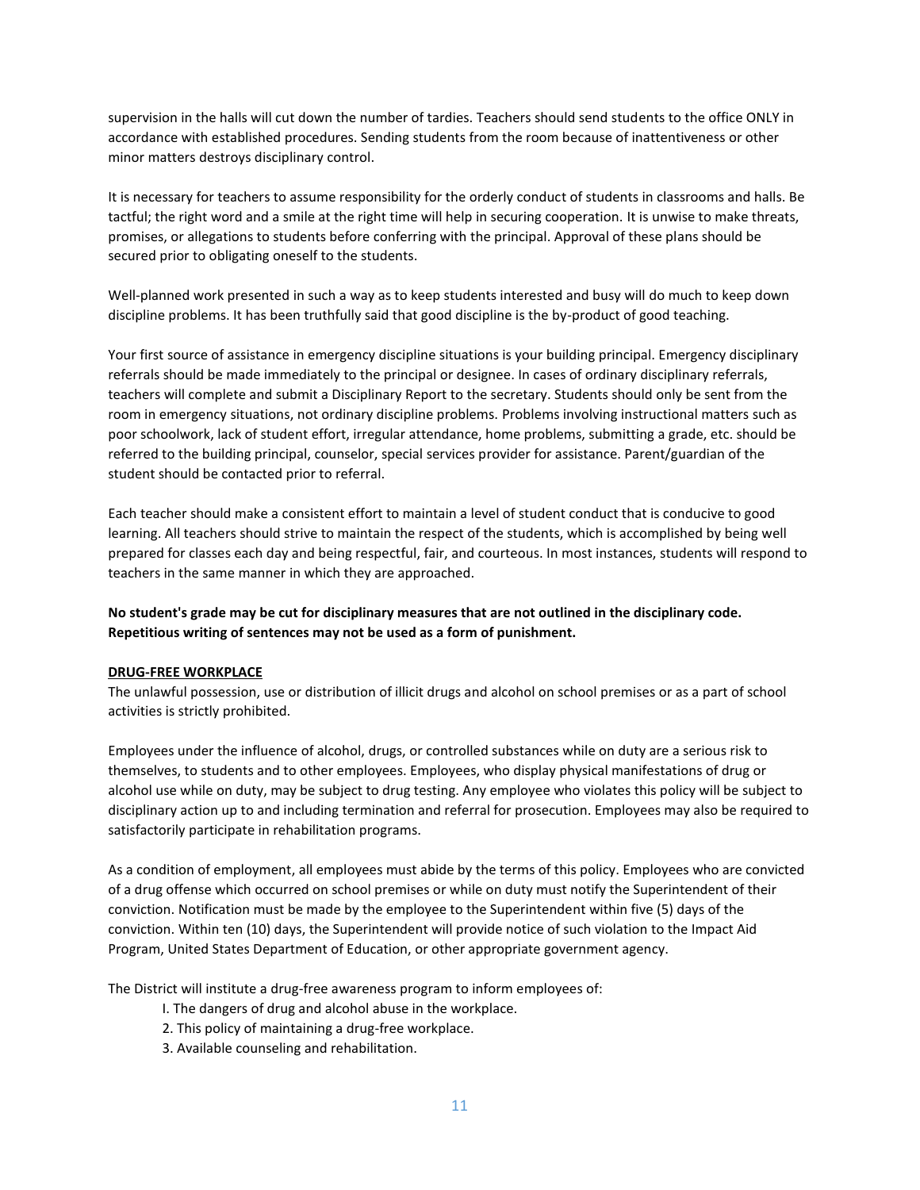supervision in the halls will cut down the number of tardies. Teachers should send students to the office ONLY in accordance with established procedures. Sending students from the room because of inattentiveness or other minor matters destroys disciplinary control.

It is necessary for teachers to assume responsibility for the orderly conduct of students in classrooms and halls. Be tactful; the right word and a smile at the right time will help in securing cooperation. It is unwise to make threats, promises, or allegations to students before conferring with the principal. Approval of these plans should be secured prior to obligating oneself to the students.

Well-planned work presented in such a way as to keep students interested and busy will do much to keep down discipline problems. It has been truthfully said that good discipline is the by-product of good teaching.

Your first source of assistance in emergency discipline situations is your building principal. Emergency disciplinary referrals should be made immediately to the principal or designee. In cases of ordinary disciplinary referrals, teachers will complete and submit a Disciplinary Report to the secretary. Students should only be sent from the room in emergency situations, not ordinary discipline problems. Problems involving instructional matters such as poor schoolwork, lack of student effort, irregular attendance, home problems, submitting a grade, etc. should be referred to the building principal, counselor, special services provider for assistance. Parent/guardian of the student should be contacted prior to referral.

Each teacher should make a consistent effort to maintain a level of student conduct that is conducive to good learning. All teachers should strive to maintain the respect of the students, which is accomplished by being well prepared for classes each day and being respectful, fair, and courteous. In most instances, students will respond to teachers in the same manner in which they are approached.

**No student's grade may be cut for disciplinary measures that are not outlined in the disciplinary code. Repetitious writing of sentences may not be used as a form of punishment.**

#### **DRUG-FREE WORKPLACE**

The unlawful possession, use or distribution of illicit drugs and alcohol on school premises or as a part of school activities is strictly prohibited.

Employees under the influence of alcohol, drugs, or controlled substances while on duty are a serious risk to themselves, to students and to other employees. Employees, who display physical manifestations of drug or alcohol use while on duty, may be subject to drug testing. Any employee who violates this policy will be subject to disciplinary action up to and including termination and referral for prosecution. Employees may also be required to satisfactorily participate in rehabilitation programs.

As a condition of employment, all employees must abide by the terms of this policy. Employees who are convicted of a drug offense which occurred on school premises or while on duty must notify the Superintendent of their conviction. Notification must be made by the employee to the Superintendent within five (5) days of the conviction. Within ten (10) days, the Superintendent will provide notice of such violation to the Impact Aid Program, United States Department of Education, or other appropriate government agency.

The District will institute a drug-free awareness program to inform employees of:

- I. The dangers of drug and alcohol abuse in the workplace.
- 2. This policy of maintaining a drug-free workplace.
- 3. Available counseling and rehabilitation.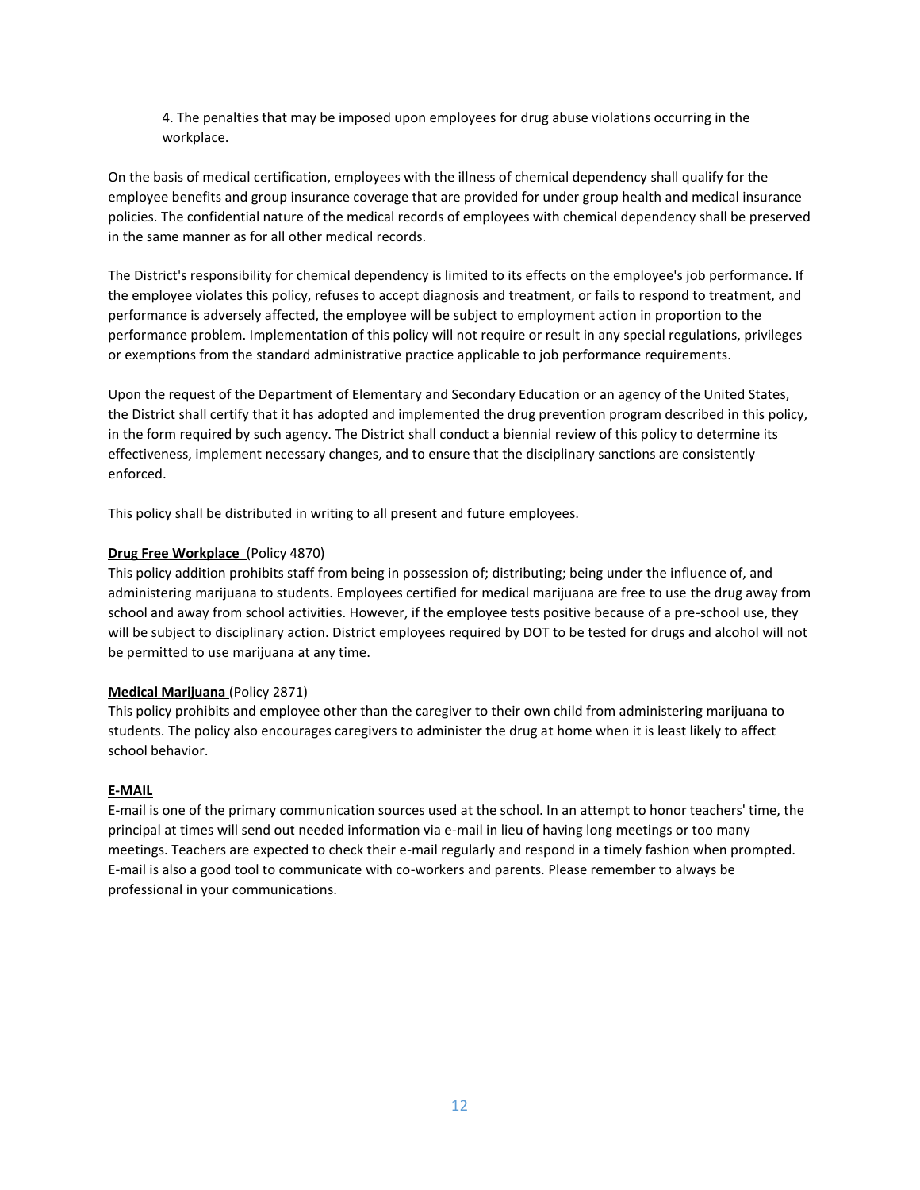4. The penalties that may be imposed upon employees for drug abuse violations occurring in the workplace.

On the basis of medical certification, employees with the illness of chemical dependency shall qualify for the employee benefits and group insurance coverage that are provided for under group health and medical insurance policies. The confidential nature of the medical records of employees with chemical dependency shall be preserved in the same manner as for all other medical records.

The District's responsibility for chemical dependency is limited to its effects on the employee's job performance. If the employee violates this policy, refuses to accept diagnosis and treatment, or fails to respond to treatment, and performance is adversely affected, the employee will be subject to employment action in proportion to the performance problem. Implementation of this policy will not require or result in any special regulations, privileges or exemptions from the standard administrative practice applicable to job performance requirements.

Upon the request of the Department of Elementary and Secondary Education or an agency of the United States, the District shall certify that it has adopted and implemented the drug prevention program described in this policy, in the form required by such agency. The District shall conduct a biennial review of this policy to determine its effectiveness, implement necessary changes, and to ensure that the disciplinary sanctions are consistently enforced.

This policy shall be distributed in writing to all present and future employees.

#### **Drug Free Workplace** (Policy 4870)

This policy addition prohibits staff from being in possession of; distributing; being under the influence of, and administering marijuana to students. Employees certified for medical marijuana are free to use the drug away from school and away from school activities. However, if the employee tests positive because of a pre-school use, they will be subject to disciplinary action. District employees required by DOT to be tested for drugs and alcohol will not be permitted to use marijuana at any time.

#### **Medical Marijuana** (Policy 2871)

This policy prohibits and employee other than the caregiver to their own child from administering marijuana to students. The policy also encourages caregivers to administer the drug at home when it is least likely to affect school behavior.

#### **E-MAIL**

E-mail is one of the primary communication sources used at the school. In an attempt to honor teachers' time, the principal at times will send out needed information via e-mail in lieu of having long meetings or too many meetings. Teachers are expected to check their e-mail regularly and respond in a timely fashion when prompted. E-mail is also a good tool to communicate with co-workers and parents. Please remember to always be professional in your communications.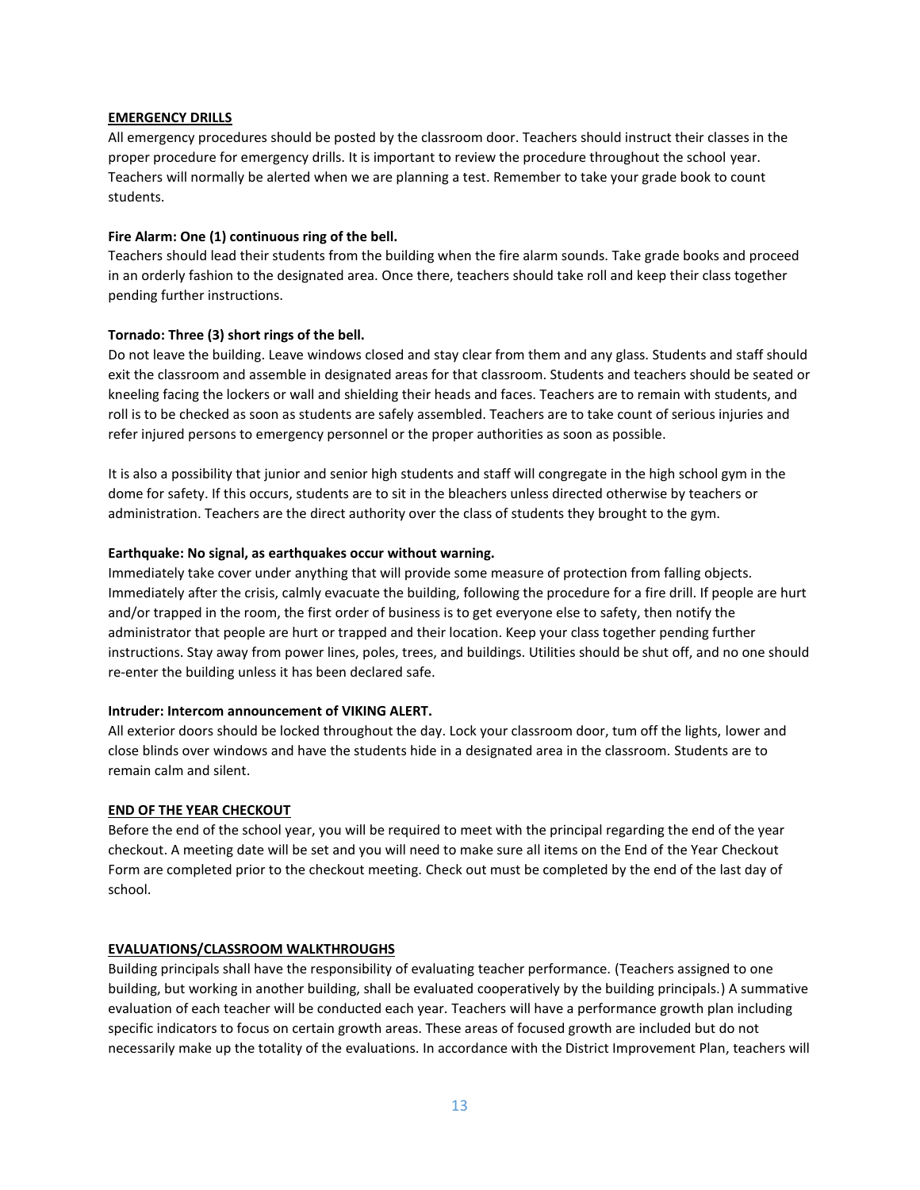#### **EMERGENCY DRILLS**

All emergency procedures should be posted by the classroom door. Teachers should instruct their classes in the proper procedure for emergency drills. It is important to review the procedure throughout the school year. Teachers will normally be alerted when we are planning a test. Remember to take your grade book to count students.

#### **Fire Alarm: One (1) continuous ring of the bell.**

Teachers should lead their students from the building when the fire alarm sounds. Take grade books and proceed in an orderly fashion to the designated area. Once there, teachers should take roll and keep their class together pending further instructions.

#### **Tornado: Three (3) short rings of the bell.**

Do not leave the building. Leave windows closed and stay clear from them and any glass. Students and staff should exit the classroom and assemble in designated areas for that classroom. Students and teachers should be seated or kneeling facing the lockers or wall and shielding their heads and faces. Teachers are to remain with students, and roll is to be checked as soon as students are safely assembled. Teachers are to take count of serious injuries and refer injured persons to emergency personnel or the proper authorities as soon as possible.

It is also a possibility that junior and senior high students and staff will congregate in the high school gym in the dome for safety. If this occurs, students are to sit in the bleachers unless directed otherwise by teachers or administration. Teachers are the direct authority over the class of students they brought to the gym.

#### **Earthquake: No signal, as earthquakes occur without warning.**

Immediately take cover under anything that will provide some measure of protection from falling objects. Immediately after the crisis, calmly evacuate the building, following the procedure for a fire drill. If people are hurt and/or trapped in the room, the first order of business is to get everyone else to safety, then notify the administrator that people are hurt or trapped and their location. Keep your class together pending further instructions. Stay away from power lines, poles, trees, and buildings. Utilities should be shut off, and no one should re-enter the building unless it has been declared safe.

#### **Intruder: Intercom announcement of VIKING ALERT.**

All exterior doors should be locked throughout the day. Lock your classroom door, tum off the lights, lower and close blinds over windows and have the students hide in a designated area in the classroom. Students are to remain calm and silent.

#### **END OF THE YEAR CHECKOUT**

Before the end of the school year, you will be required to meet with the principal regarding the end of the year checkout. A meeting date will be set and you will need to make sure all items on the End of the Year Checkout Form are completed prior to the checkout meeting. Check out must be completed by the end of the last day of school.

#### **EVALUATIONS/CLASSROOM WALKTHROUGHS**

Building principals shall have the responsibility of evaluating teacher performance. (Teachers assigned to one building, but working in another building, shall be evaluated cooperatively by the building principals.) A summative evaluation of each teacher will be conducted each year. Teachers will have a performance growth plan including specific indicators to focus on certain growth areas. These areas of focused growth are included but do not necessarily make up the totality of the evaluations. In accordance with the District Improvement Plan, teachers will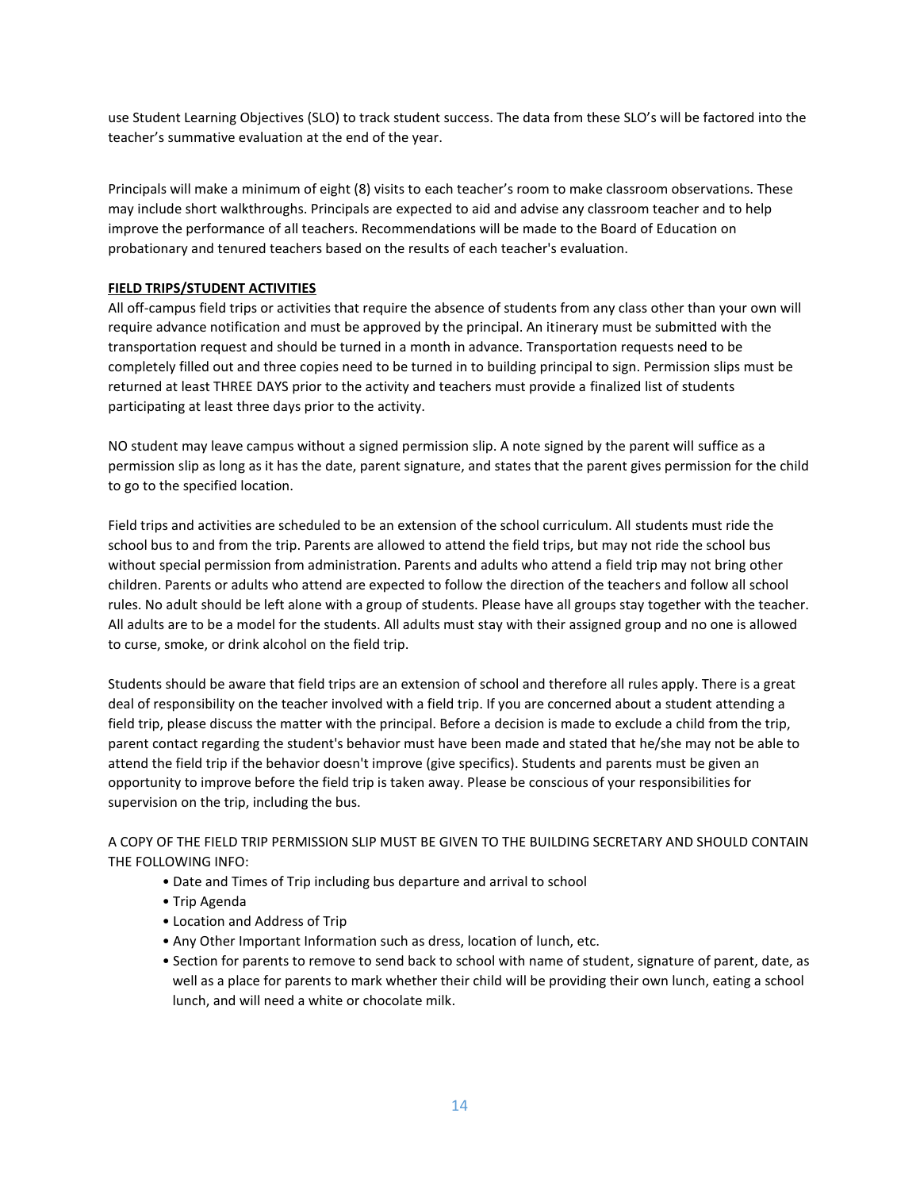use Student Learning Objectives (SLO) to track student success. The data from these SLO's will be factored into the teacher's summative evaluation at the end of the year.

Principals will make a minimum of eight (8) visits to each teacher's room to make classroom observations. These may include short walkthroughs. Principals are expected to aid and advise any classroom teacher and to help improve the performance of all teachers. Recommendations will be made to the Board of Education on probationary and tenured teachers based on the results of each teacher's evaluation.

#### **FIELD TRIPS/STUDENT ACTIVITIES**

All off-campus field trips or activities that require the absence of students from any class other than your own will require advance notification and must be approved by the principal. An itinerary must be submitted with the transportation request and should be turned in a month in advance. Transportation requests need to be completely filled out and three copies need to be turned in to building principal to sign. Permission slips must be returned at least THREE DAYS prior to the activity and teachers must provide a finalized list of students participating at least three days prior to the activity.

NO student may leave campus without a signed permission slip. A note signed by the parent will suffice as a permission slip as long as it has the date, parent signature, and states that the parent gives permission for the child to go to the specified location.

Field trips and activities are scheduled to be an extension of the school curriculum. All students must ride the school bus to and from the trip. Parents are allowed to attend the field trips, but may not ride the school bus without special permission from administration. Parents and adults who attend a field trip may not bring other children. Parents or adults who attend are expected to follow the direction of the teachers and follow all school rules. No adult should be left alone with a group of students. Please have all groups stay together with the teacher. All adults are to be a model for the students. All adults must stay with their assigned group and no one is allowed to curse, smoke, or drink alcohol on the field trip.

Students should be aware that field trips are an extension of school and therefore all rules apply. There is a great deal of responsibility on the teacher involved with a field trip. If you are concerned about a student attending a field trip, please discuss the matter with the principal. Before a decision is made to exclude a child from the trip, parent contact regarding the student's behavior must have been made and stated that he/she may not be able to attend the field trip if the behavior doesn't improve (give specifics). Students and parents must be given an opportunity to improve before the field trip is taken away. Please be conscious of your responsibilities for supervision on the trip, including the bus.

A COPY OF THE FIELD TRIP PERMISSION SLIP MUST BE GIVEN TO THE BUILDING SECRETARY AND SHOULD CONTAIN THE FOLLOWING INFO:

- Date and Times of Trip including bus departure and arrival to school
- Trip Agenda
- Location and Address of Trip
- Any Other Important Information such as dress, location of lunch, etc.
- Section for parents to remove to send back to school with name of student, signature of parent, date, as well as a place for parents to mark whether their child will be providing their own lunch, eating a school lunch, and will need a white or chocolate milk.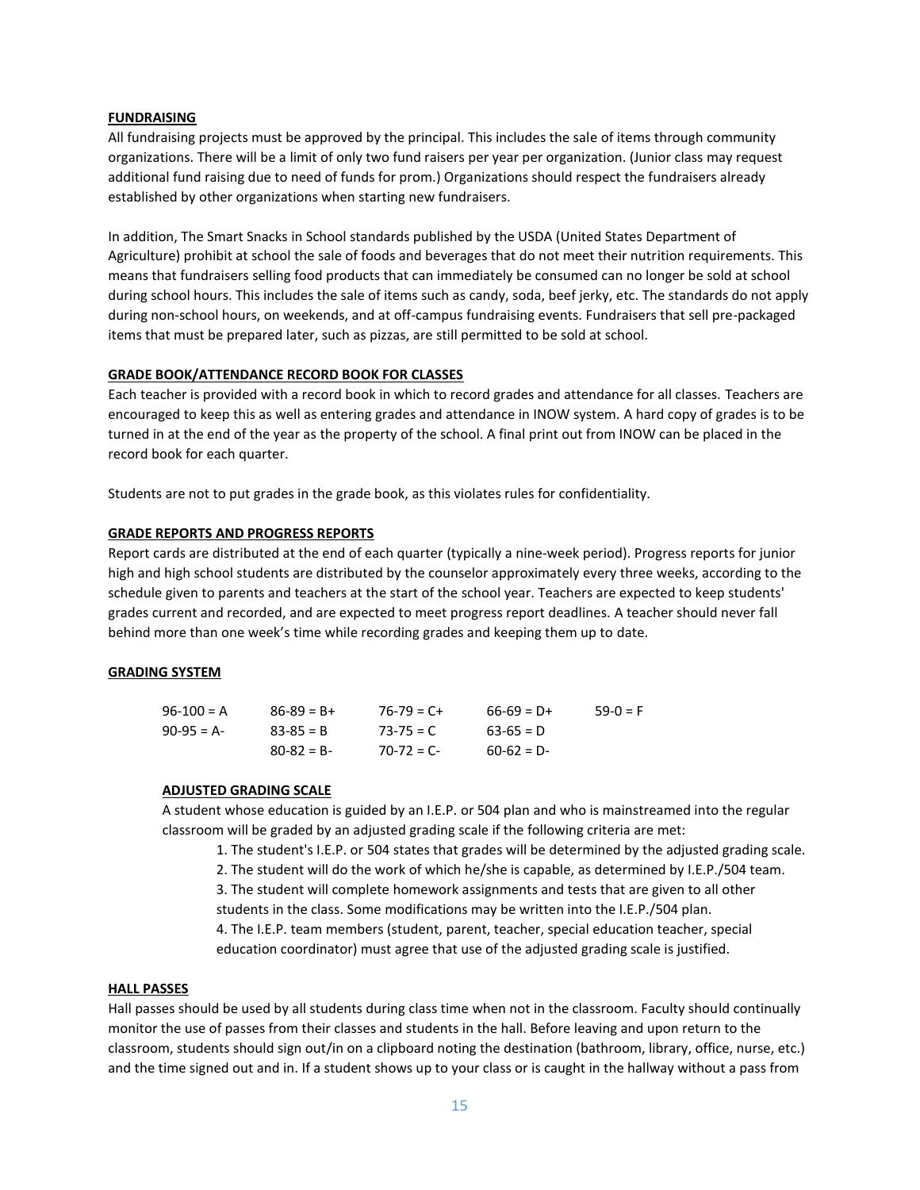#### **FUNDRAISING**

All fundraising projects must be approved by the principal. This includes the sale of items through community organizations. There will be a limit of only two fund raisers per year per organization. (Junior class may request additional fund raising due to need of funds for prom.) Organizations should respect the fundraisers already established by other organizations when starting new fundraisers.

In addition, The Smart Snacks in School standards published by the USDA (United States Department of Agriculture) prohibit at school the sale of foods and beverages that do not meet their nutrition requirements. This means that fundraisers selling food products that can immediately be consumed can no longer be sold at school during school hours. This includes the sale of items such as candy, soda, beef jerky, etc. The standards do not apply during non-school hours, on weekends, and at off-campus fundraising events. Fundraisers that sell pre-packaged items that must be prepared later, such as pizzas, are still permitted to be sold at school.

#### **GRADE BOOK/ATTENDANCE RECORD BOOK FOR CLASSES**

Each teacher is provided with a record book in which to record grades and attendance for all classes. Teachers are encouraged to keep this as well as entering grades and attendance in INOW system. A hard copy of grades is to be turned in at the end of the year as the property of the school. A final print out from INOW can be placed in the record book for each quarter.

Students are not to put grades in the grade book, as this violates rules for confidentiality.

#### **GRADE REPORTS AND PROGRESS REPORTS**

Report cards are distributed at the end of each quarter (typically a nine-week period). Progress reports for junior high and high school students are distributed by the counselor approximately every three weeks, according to the schedule given to parents and teachers at the start of the school year. Teachers are expected to keep students' grades current and recorded, and are expected to meet progress report deadlines. A teacher should never fall behind more than one week's time while recording grades and keeping them up to date.

#### **GRADING SYSTEM**

| $96-100 = A$ | $86 - 89 = B +$ | $76 - 79 = C +$ | $66-69 = D+$  | $59-0 = F$ |
|--------------|-----------------|-----------------|---------------|------------|
| $90-95 = A-$ | $83 - 85 = B$   | $73 - 75 = C$   | $63-65 = D$   |            |
|              | $80 - 82 = B -$ | $70-72 = C$     | $60-62 = D -$ |            |

#### **ADJUSTED GRADING SCALE**

A student whose education is guided by an I.E.P. or 504 plan and who is mainstreamed into the regular classroom will be graded by an adjusted grading scale if the following criteria are met:

- 1. The student's I.E.P. or 504 states that grades will be determined by the adjusted grading scale.
- 2. The student will do the work of which he/she is capable, as determined by I.E.P./504 team.
- 3. The student will complete homework assignments and tests that are given to all other students in the class. Some modifications may be written into the I.E.P./504 plan.

4. The I.E.P. team members (student, parent, teacher, special education teacher, special education coordinator) must agree that use of the adjusted grading scale is justified.

#### **HALL PASSES**

Hall passes should be used by all students during class time when not in the classroom. Faculty should continually monitor the use of passes from their classes and students in the hall. Before leaving and upon return to the classroom, students should sign out/in on a clipboard noting the destination (bathroom, library, office, nurse, etc.) and the time signed out and in. If a student shows up to your class or is caught in the hallway without a pass from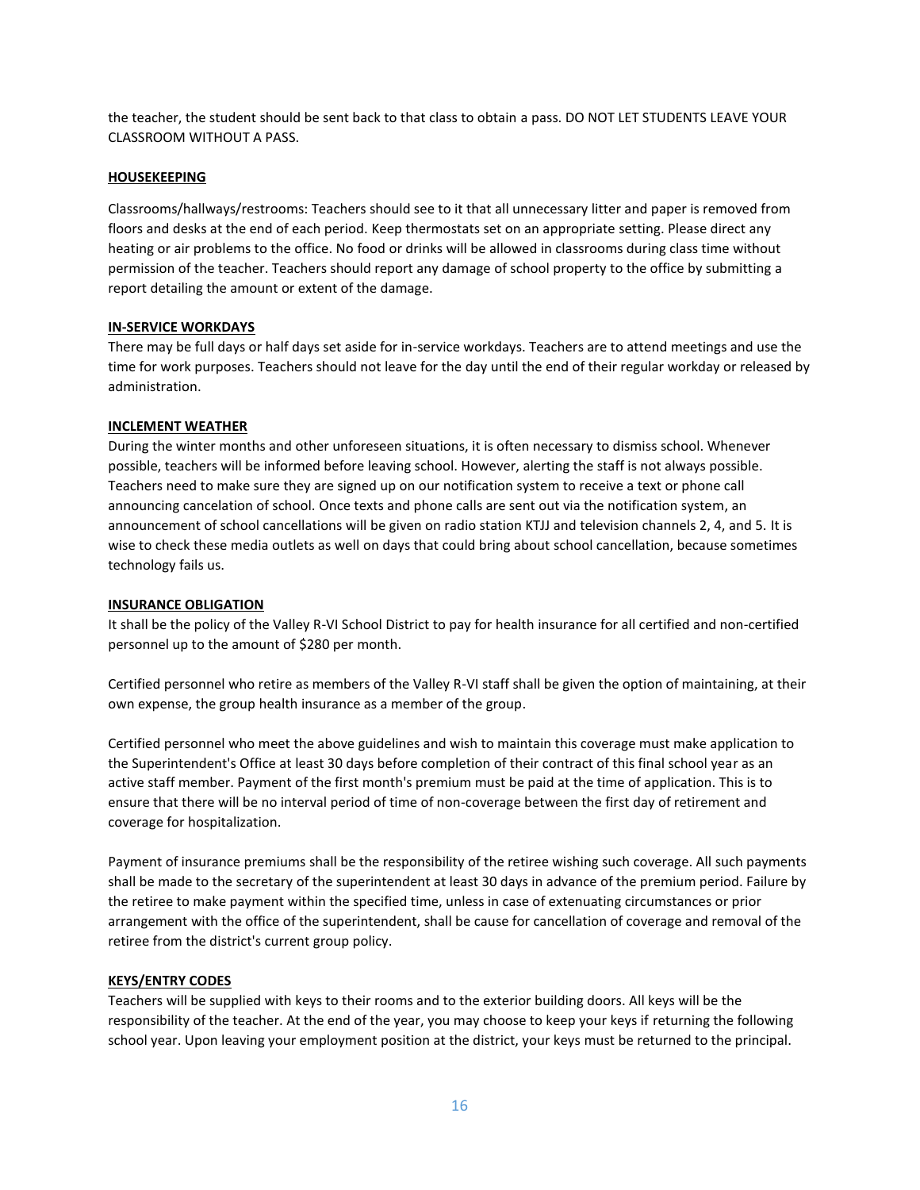the teacher, the student should be sent back to that class to obtain a pass. DO NOT LET STUDENTS LEAVE YOUR CLASSROOM WITHOUT A PASS.

#### **HOUSEKEEPING**

Classrooms/hallways/restrooms: Teachers should see to it that all unnecessary litter and paper is removed from floors and desks at the end of each period. Keep thermostats set on an appropriate setting. Please direct any heating or air problems to the office. No food or drinks will be allowed in classrooms during class time without permission of the teacher. Teachers should report any damage of school property to the office by submitting a report detailing the amount or extent of the damage.

#### **IN-SERVICE WORKDAYS**

There may be full days or half days set aside for in-service workdays. Teachers are to attend meetings and use the time for work purposes. Teachers should not leave for the day until the end of their regular workday or released by administration.

#### **INCLEMENT WEATHER**

During the winter months and other unforeseen situations, it is often necessary to dismiss school. Whenever possible, teachers will be informed before leaving school. However, alerting the staff is not always possible. Teachers need to make sure they are signed up on our notification system to receive a text or phone call announcing cancelation of school. Once texts and phone calls are sent out via the notification system, an announcement of school cancellations will be given on radio station KTJJ and television channels 2, 4, and 5. It is wise to check these media outlets as well on days that could bring about school cancellation, because sometimes technology fails us.

#### **INSURANCE OBLIGATION**

It shall be the policy of the Valley R-VI School District to pay for health insurance for all certified and non-certified personnel up to the amount of \$280 per month.

Certified personnel who retire as members of the Valley R-VI staff shall be given the option of maintaining, at their own expense, the group health insurance as a member of the group.

Certified personnel who meet the above guidelines and wish to maintain this coverage must make application to the Superintendent's Office at least 30 days before completion of their contract of this final school year as an active staff member. Payment of the first month's premium must be paid at the time of application. This is to ensure that there will be no interval period of time of non-coverage between the first day of retirement and coverage for hospitalization.

Payment of insurance premiums shall be the responsibility of the retiree wishing such coverage. All such payments shall be made to the secretary of the superintendent at least 30 days in advance of the premium period. Failure by the retiree to make payment within the specified time, unless in case of extenuating circumstances or prior arrangement with the office of the superintendent, shall be cause for cancellation of coverage and removal of the retiree from the district's current group policy.

#### **KEYS/ENTRY CODES**

Teachers will be supplied with keys to their rooms and to the exterior building doors. All keys will be the responsibility of the teacher. At the end of the year, you may choose to keep your keys if returning the following school year. Upon leaving your employment position at the district, your keys must be returned to the principal.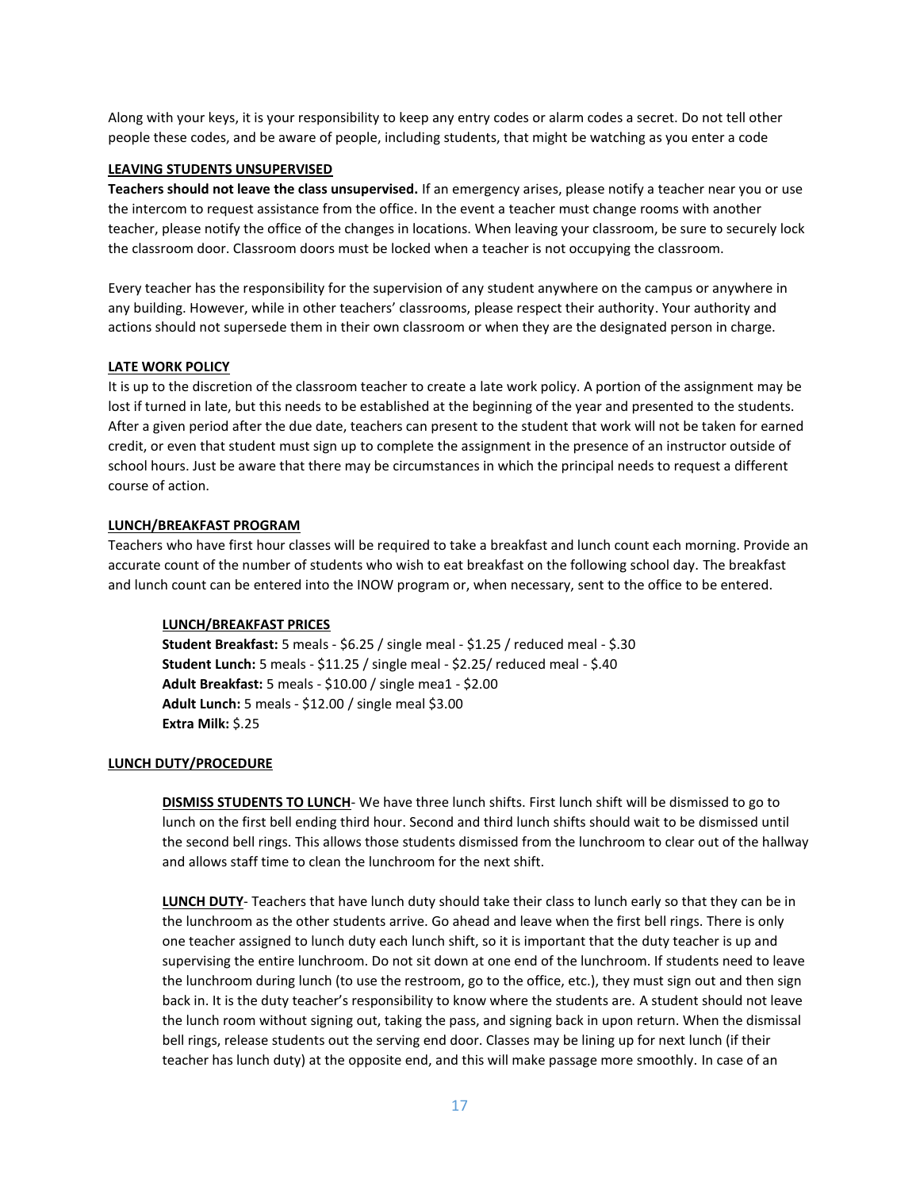Along with your keys, it is your responsibility to keep any entry codes or alarm codes a secret. Do not tell other people these codes, and be aware of people, including students, that might be watching as you enter a code

#### **LEAVING STUDENTS UNSUPERVISED**

**Teachers should not leave the class unsupervised.** If an emergency arises, please notify a teacher near you or use the intercom to request assistance from the office. In the event a teacher must change rooms with another teacher, please notify the office of the changes in locations. When leaving your classroom, be sure to securely lock the classroom door. Classroom doors must be locked when a teacher is not occupying the classroom.

Every teacher has the responsibility for the supervision of any student anywhere on the campus or anywhere in any building. However, while in other teachers' classrooms, please respect their authority. Your authority and actions should not supersede them in their own classroom or when they are the designated person in charge.

#### **LATE WORK POLICY**

It is up to the discretion of the classroom teacher to create a late work policy. A portion of the assignment may be lost if turned in late, but this needs to be established at the beginning of the year and presented to the students. After a given period after the due date, teachers can present to the student that work will not be taken for earned credit, or even that student must sign up to complete the assignment in the presence of an instructor outside of school hours. Just be aware that there may be circumstances in which the principal needs to request a different course of action.

#### **LUNCH/BREAKFAST PROGRAM**

Teachers who have first hour classes will be required to take a breakfast and lunch count each morning. Provide an accurate count of the number of students who wish to eat breakfast on the following school day. The breakfast and lunch count can be entered into the INOW program or, when necessary, sent to the office to be entered.

#### **LUNCH/BREAKFAST PRICES**

 **Student Breakfast:** 5 meals - \$6.25 / single meal - \$1.25 / reduced meal - \$.30 **Student Lunch:** 5 meals - \$11.25 / single meal - \$2.25/ reduced meal - \$.40 **Adult Breakfast:** 5 meals - \$10.00 / single mea1 - \$2.00 **Adult Lunch:** 5 meals - \$12.00 / single meal \$3.00 **Extra Milk:** \$.25

#### **LUNCH DUTY/PROCEDURE**

**DISMISS STUDENTS TO LUNCH**- We have three lunch shifts. First lunch shift will be dismissed to go to lunch on the first bell ending third hour. Second and third lunch shifts should wait to be dismissed until the second bell rings. This allows those students dismissed from the lunchroom to clear out of the hallway and allows staff time to clean the lunchroom for the next shift.

**LUNCH DUTY**- Teachers that have lunch duty should take their class to lunch early so that they can be in the lunchroom as the other students arrive. Go ahead and leave when the first bell rings. There is only one teacher assigned to lunch duty each lunch shift, so it is important that the duty teacher is up and supervising the entire lunchroom. Do not sit down at one end of the lunchroom. If students need to leave the lunchroom during lunch (to use the restroom, go to the office, etc.), they must sign out and then sign back in. It is the duty teacher's responsibility to know where the students are. A student should not leave the lunch room without signing out, taking the pass, and signing back in upon return. When the dismissal bell rings, release students out the serving end door. Classes may be lining up for next lunch (if their teacher has lunch duty) at the opposite end, and this will make passage more smoothly. In case of an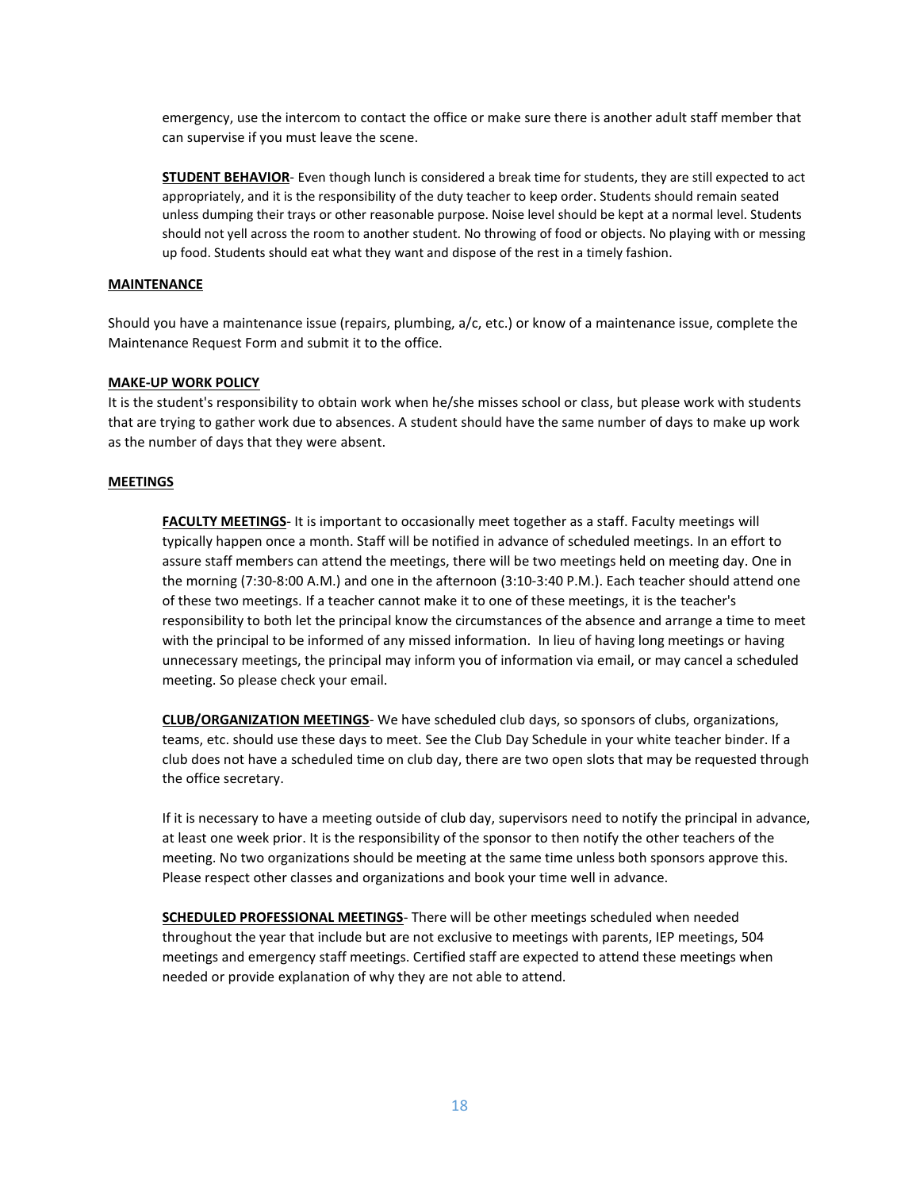emergency, use the intercom to contact the office or make sure there is another adult staff member that can supervise if you must leave the scene.

**STUDENT BEHAVIOR**- Even though lunch is considered a break time for students, they are still expected to act appropriately, and it is the responsibility of the duty teacher to keep order. Students should remain seated unless dumping their trays or other reasonable purpose. Noise level should be kept at a normal level. Students should not yell across the room to another student. No throwing of food or objects. No playing with or messing up food. Students should eat what they want and dispose of the rest in a timely fashion.

#### **MAINTENANCE**

Should you have a maintenance issue (repairs, plumbing, a/c, etc.) or know of a maintenance issue, complete the Maintenance Request Form and submit it to the office.

#### **MAKE-UP WORK POLICY**

It is the student's responsibility to obtain work when he/she misses school or class, but please work with students that are trying to gather work due to absences. A student should have the same number of days to make up work as the number of days that they were absent.

#### **MEETINGS**

**FACULTY MEETINGS**- It is important to occasionally meet together as a staff. Faculty meetings will typically happen once a month. Staff will be notified in advance of scheduled meetings. In an effort to assure staff members can attend the meetings, there will be two meetings held on meeting day. One in the morning (7:30-8:00 A.M.) and one in the afternoon (3:10-3:40 P.M.). Each teacher should attend one of these two meetings. If a teacher cannot make it to one of these meetings, it is the teacher's responsibility to both let the principal know the circumstances of the absence and arrange a time to meet with the principal to be informed of any missed information. In lieu of having long meetings or having unnecessary meetings, the principal may inform you of information via email, or may cancel a scheduled meeting. So please check your email.

**CLUB/ORGANIZATION MEETINGS**- We have scheduled club days, so sponsors of clubs, organizations, teams, etc. should use these days to meet. See the Club Day Schedule in your white teacher binder. If a club does not have a scheduled time on club day, there are two open slots that may be requested through the office secretary.

If it is necessary to have a meeting outside of club day, supervisors need to notify the principal in advance, at least one week prior. It is the responsibility of the sponsor to then notify the other teachers of the meeting. No two organizations should be meeting at the same time unless both sponsors approve this. Please respect other classes and organizations and book your time well in advance.

**SCHEDULED PROFESSIONAL MEETINGS**- There will be other meetings scheduled when needed throughout the year that include but are not exclusive to meetings with parents, IEP meetings, 504 meetings and emergency staff meetings. Certified staff are expected to attend these meetings when needed or provide explanation of why they are not able to attend.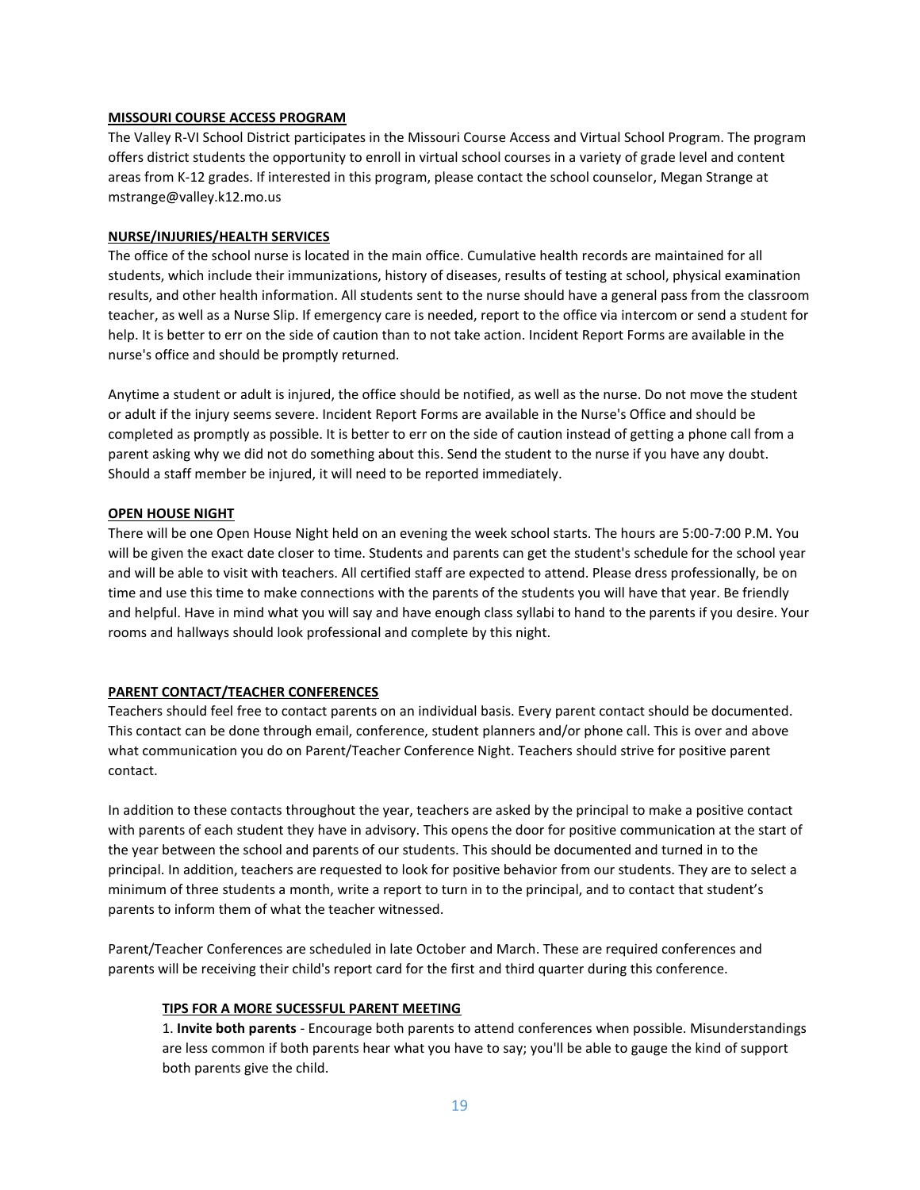#### **MISSOURI COURSE ACCESS PROGRAM**

The Valley R-VI School District participates in the Missouri Course Access and Virtual School Program. The program offers district students the opportunity to enroll in virtual school courses in a variety of grade level and content areas from K-12 grades. If interested in this program, please contact the school counselor, Megan Strange at mstrange@valley.k12.mo.us

#### **NURSE/INJURIES/HEALTH SERVICES**

The office of the school nurse is located in the main office. Cumulative health records are maintained for all students, which include their immunizations, history of diseases, results of testing at school, physical examination results, and other health information. All students sent to the nurse should have a general pass from the classroom teacher, as well as a Nurse Slip. If emergency care is needed, report to the office via intercom or send a student for help. It is better to err on the side of caution than to not take action. Incident Report Forms are available in the nurse's office and should be promptly returned.

Anytime a student or adult is injured, the office should be notified, as well as the nurse. Do not move the student or adult if the injury seems severe. Incident Report Forms are available in the Nurse's Office and should be completed as promptly as possible. It is better to err on the side of caution instead of getting a phone call from a parent asking why we did not do something about this. Send the student to the nurse if you have any doubt. Should a staff member be injured, it will need to be reported immediately.

#### **OPEN HOUSE NIGHT**

There will be one Open House Night held on an evening the week school starts. The hours are 5:00-7:00 P.M. You will be given the exact date closer to time. Students and parents can get the student's schedule for the school year and will be able to visit with teachers. All certified staff are expected to attend. Please dress professionally, be on time and use this time to make connections with the parents of the students you will have that year. Be friendly and helpful. Have in mind what you will say and have enough class syllabi to hand to the parents if you desire. Your rooms and hallways should look professional and complete by this night.

#### **PARENT CONTACT/TEACHER CONFERENCES**

Teachers should feel free to contact parents on an individual basis. Every parent contact should be documented. This contact can be done through email, conference, student planners and/or phone call. This is over and above what communication you do on Parent/Teacher Conference Night. Teachers should strive for positive parent contact.

In addition to these contacts throughout the year, teachers are asked by the principal to make a positive contact with parents of each student they have in advisory. This opens the door for positive communication at the start of the year between the school and parents of our students. This should be documented and turned in to the principal. In addition, teachers are requested to look for positive behavior from our students. They are to select a minimum of three students a month, write a report to turn in to the principal, and to contact that student's parents to inform them of what the teacher witnessed.

Parent/Teacher Conferences are scheduled in late October and March. These are required conferences and parents will be receiving their child's report card for the first and third quarter during this conference.

#### **TIPS FOR A MORE SUCESSFUL PARENT MEETING**

1. **Invite both parents** - Encourage both parents to attend conferences when possible. Misunderstandings are less common if both parents hear what you have to say; you'll be able to gauge the kind of support both parents give the child.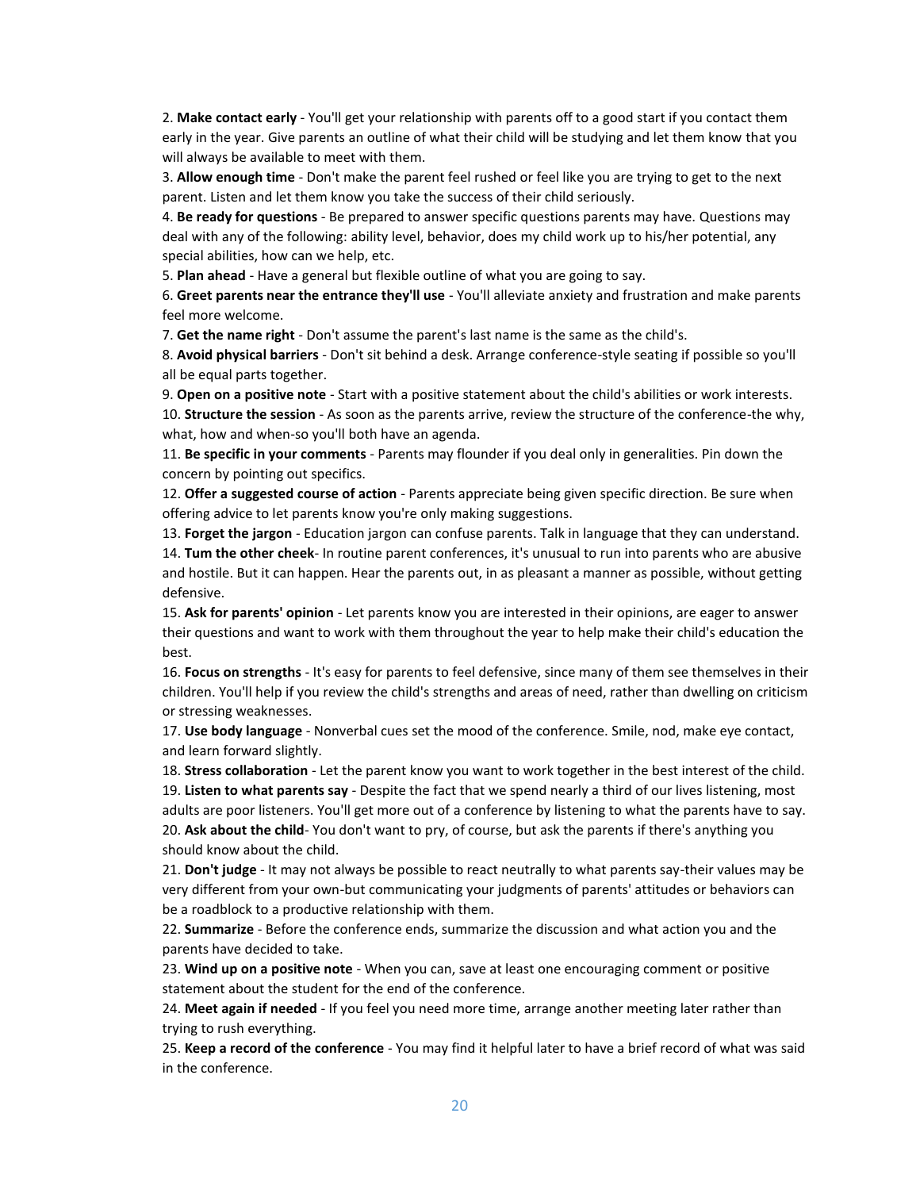2. **Make contact early** - You'll get your relationship with parents off to a good start if you contact them early in the year. Give parents an outline of what their child will be studying and let them know that you will always be available to meet with them.

3. **Allow enough time** - Don't make the parent feel rushed or feel like you are trying to get to the next parent. Listen and let them know you take the success of their child seriously.

4. **Be ready for questions** - Be prepared to answer specific questions parents may have. Questions may deal with any of the following: ability level, behavior, does my child work up to his/her potential, any special abilities, how can we help, etc.

5. **Plan ahead** - Have a general but flexible outline of what you are going to say.

6. **Greet parents near the entrance they'll use** - You'll alleviate anxiety and frustration and make parents feel more welcome.

7. **Get the name right** - Don't assume the parent's last name is the same as the child's.

8. **Avoid physical barriers** - Don't sit behind a desk. Arrange conference-style seating if possible so you'll all be equal parts together.

9. **Open on a positive note** - Start with a positive statement about the child's abilities or work interests. 10. **Structure the session** - As soon as the parents arrive, review the structure of the conference-the why, what, how and when-so you'll both have an agenda.

11. **Be specific in your comments** - Parents may flounder if you deal only in generalities. Pin down the concern by pointing out specifics.

12. **Offer a suggested course of action** - Parents appreciate being given specific direction. Be sure when offering advice to let parents know you're only making suggestions.

13. **Forget the jargon** - Education jargon can confuse parents. Talk in language that they can understand.

14. **Tum the other cheek**- In routine parent conferences, it's unusual to run into parents who are abusive and hostile. But it can happen. Hear the parents out, in as pleasant a manner as possible, without getting defensive.

15. **Ask for parents' opinion** - Let parents know you are interested in their opinions, are eager to answer their questions and want to work with them throughout the year to help make their child's education the best.

16. **Focus on strengths** - It's easy for parents to feel defensive, since many of them see themselves in their children. You'll help if you review the child's strengths and areas of need, rather than dwelling on criticism or stressing weaknesses.

17. **Use body language** - Nonverbal cues set the mood of the conference. Smile, nod, make eye contact, and learn forward slightly.

18. **Stress collaboration** - Let the parent know you want to work together in the best interest of the child. 19. **Listen to what parents say** - Despite the fact that we spend nearly a third of our lives listening, most adults are poor listeners. You'll get more out of a conference by listening to what the parents have to say. 20. **Ask about the child**- You don't want to pry, of course, but ask the parents if there's anything you should know about the child.

21. **Don't judge** - It may not always be possible to react neutrally to what parents say-their values may be very different from your own-but communicating your judgments of parents' attitudes or behaviors can be a roadblock to a productive relationship with them.

22. **Summarize** - Before the conference ends, summarize the discussion and what action you and the parents have decided to take.

23. **Wind up on a positive note** - When you can, save at least one encouraging comment or positive statement about the student for the end of the conference.

24. **Meet again if needed** - If you feel you need more time, arrange another meeting later rather than trying to rush everything.

25. **Keep a record of the conference** - You may find it helpful later to have a brief record of what was said in the conference.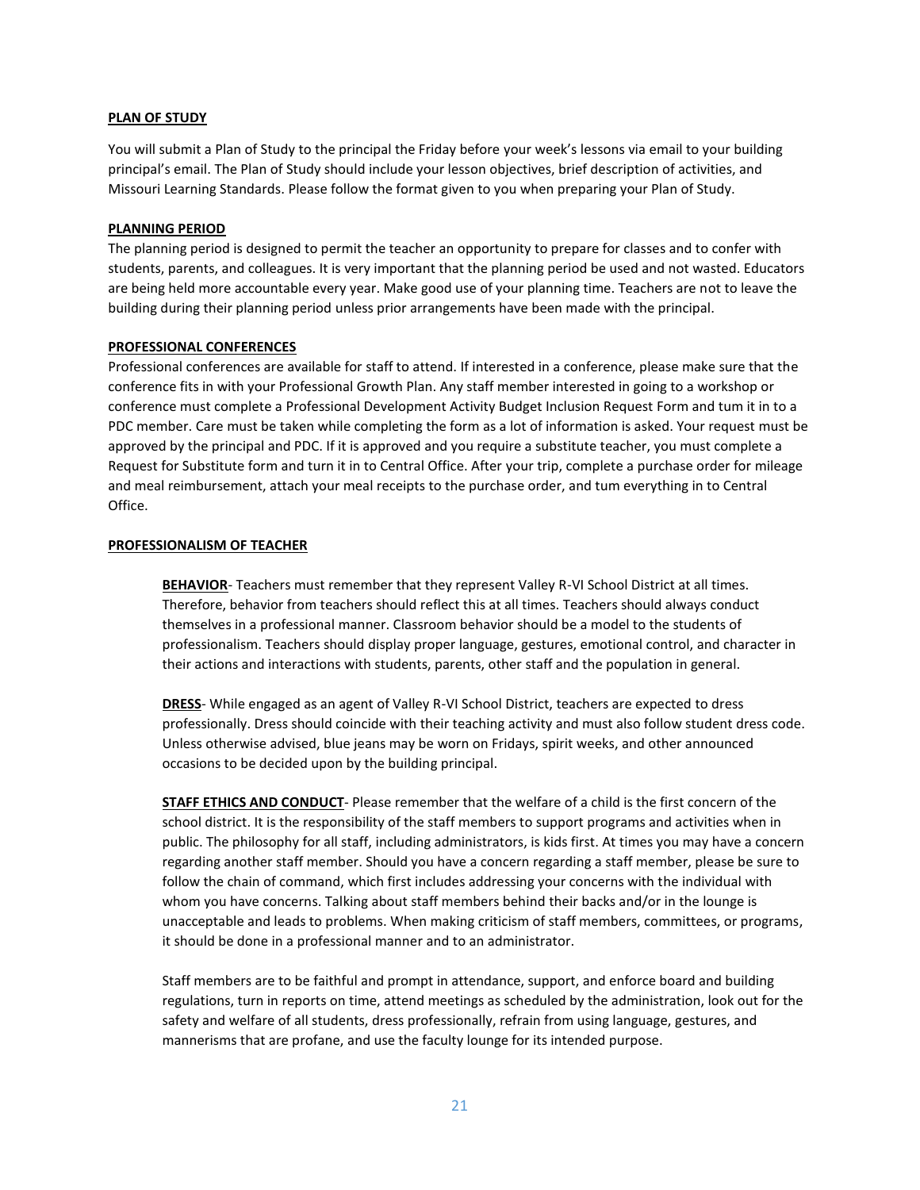#### **PLAN OF STUDY**

You will submit a Plan of Study to the principal the Friday before your week's lessons via email to your building principal's email. The Plan of Study should include your lesson objectives, brief description of activities, and Missouri Learning Standards. Please follow the format given to you when preparing your Plan of Study.

#### **PLANNING PERIOD**

The planning period is designed to permit the teacher an opportunity to prepare for classes and to confer with students, parents, and colleagues. It is very important that the planning period be used and not wasted. Educators are being held more accountable every year. Make good use of your planning time. Teachers are not to leave the building during their planning period unless prior arrangements have been made with the principal.

#### **PROFESSIONAL CONFERENCES**

Professional conferences are available for staff to attend. If interested in a conference, please make sure that the conference fits in with your Professional Growth Plan. Any staff member interested in going to a workshop or conference must complete a Professional Development Activity Budget Inclusion Request Form and tum it in to a PDC member. Care must be taken while completing the form as a lot of information is asked. Your request must be approved by the principal and PDC. If it is approved and you require a substitute teacher, you must complete a Request for Substitute form and turn it in to Central Office. After your trip, complete a purchase order for mileage and meal reimbursement, attach your meal receipts to the purchase order, and tum everything in to Central Office.

#### **PROFESSIONALISM OF TEACHER**

**BEHAVIOR**- Teachers must remember that they represent Valley R-VI School District at all times. Therefore, behavior from teachers should reflect this at all times. Teachers should always conduct themselves in a professional manner. Classroom behavior should be a model to the students of professionalism. Teachers should display proper language, gestures, emotional control, and character in their actions and interactions with students, parents, other staff and the population in general.

**DRESS**- While engaged as an agent of Valley R-VI School District, teachers are expected to dress professionally. Dress should coincide with their teaching activity and must also follow student dress code. Unless otherwise advised, blue jeans may be worn on Fridays, spirit weeks, and other announced occasions to be decided upon by the building principal.

**STAFF ETHICS AND CONDUCT**- Please remember that the welfare of a child is the first concern of the school district. It is the responsibility of the staff members to support programs and activities when in public. The philosophy for all staff, including administrators, is kids first. At times you may have a concern regarding another staff member. Should you have a concern regarding a staff member, please be sure to follow the chain of command, which first includes addressing your concerns with the individual with whom you have concerns. Talking about staff members behind their backs and/or in the lounge is unacceptable and leads to problems. When making criticism of staff members, committees, or programs, it should be done in a professional manner and to an administrator.

Staff members are to be faithful and prompt in attendance, support, and enforce board and building regulations, turn in reports on time, attend meetings as scheduled by the administration, look out for the safety and welfare of all students, dress professionally, refrain from using language, gestures, and mannerisms that are profane, and use the faculty lounge for its intended purpose.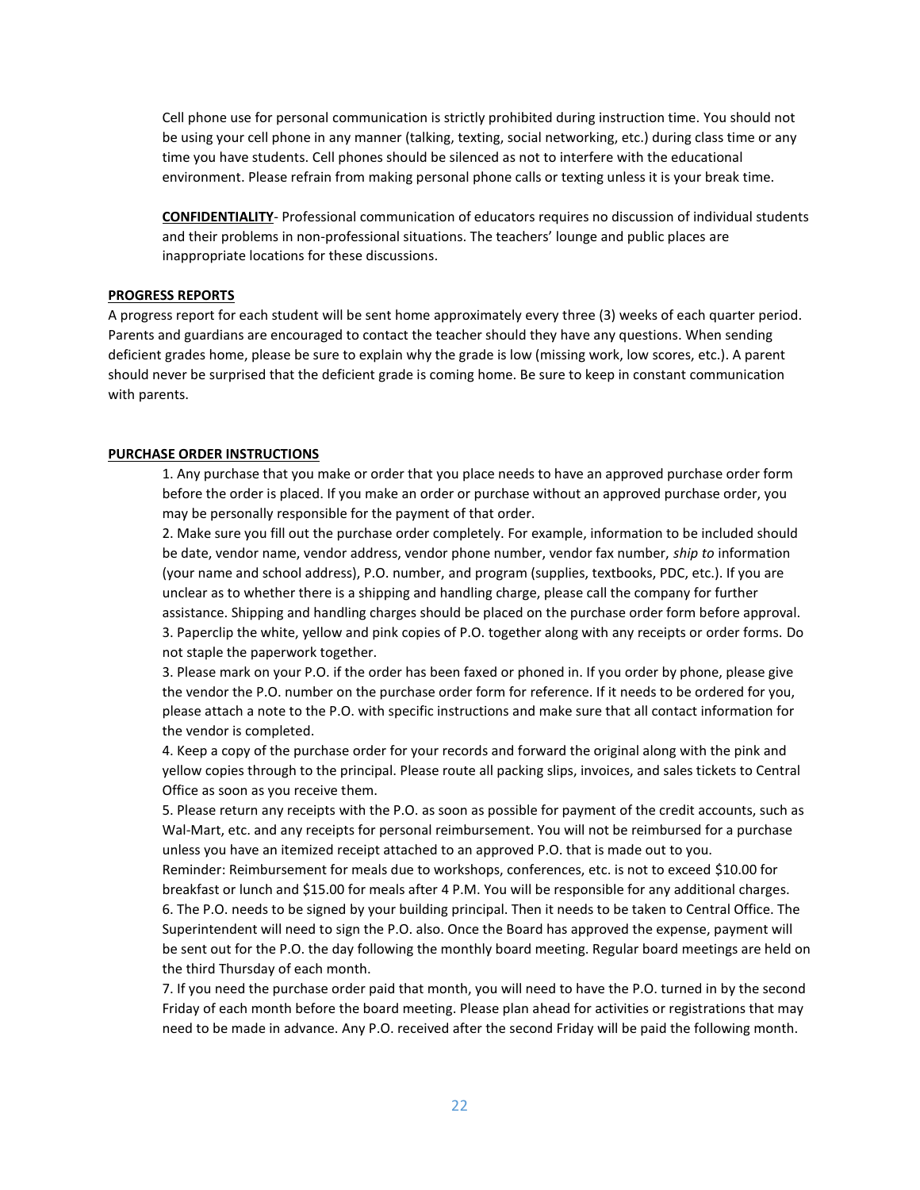Cell phone use for personal communication is strictly prohibited during instruction time. You should not be using your cell phone in any manner (talking, texting, social networking, etc.) during class time or any time you have students. Cell phones should be silenced as not to interfere with the educational environment. Please refrain from making personal phone calls or texting unless it is your break time.

**CONFIDENTIALITY**- Professional communication of educators requires no discussion of individual students and their problems in non-professional situations. The teachers' lounge and public places are inappropriate locations for these discussions.

#### **PROGRESS REPORTS**

A progress report for each student will be sent home approximately every three (3) weeks of each quarter period. Parents and guardians are encouraged to contact the teacher should they have any questions. When sending deficient grades home, please be sure to explain why the grade is low (missing work, low scores, etc.). A parent should never be surprised that the deficient grade is coming home. Be sure to keep in constant communication with parents.

#### **PURCHASE ORDER INSTRUCTIONS**

1. Any purchase that you make or order that you place needs to have an approved purchase order form before the order is placed. If you make an order or purchase without an approved purchase order, you may be personally responsible for the payment of that order.

2. Make sure you fill out the purchase order completely. For example, information to be included should be date, vendor name, vendor address, vendor phone number, vendor fax number, *ship to* information (your name and school address), P.O. number, and program (supplies, textbooks, PDC, etc.). If you are unclear as to whether there is a shipping and handling charge, please call the company for further assistance. Shipping and handling charges should be placed on the purchase order form before approval. 3. Paperclip the white, yellow and pink copies of P.O. together along with any receipts or order forms. Do not staple the paperwork together.

3. Please mark on your P.O. if the order has been faxed or phoned in. If you order by phone, please give the vendor the P.O. number on the purchase order form for reference. If it needs to be ordered for you, please attach a note to the P.O. with specific instructions and make sure that all contact information for the vendor is completed.

4. Keep a copy of the purchase order for your records and forward the original along with the pink and yellow copies through to the principal. Please route all packing slips, invoices, and sales tickets to Central Office as soon as you receive them.

5. Please return any receipts with the P.O. as soon as possible for payment of the credit accounts, such as Wal-Mart, etc. and any receipts for personal reimbursement. You will not be reimbursed for a purchase unless you have an itemized receipt attached to an approved P.O. that is made out to you.

Reminder: Reimbursement for meals due to workshops, conferences, etc. is not to exceed \$10.00 for breakfast or lunch and \$15.00 for meals after 4 P.M. You will be responsible for any additional charges. 6. The P.O. needs to be signed by your building principal. Then it needs to be taken to Central Office. The Superintendent will need to sign the P.O. also. Once the Board has approved the expense, payment will be sent out for the P.O. the day following the monthly board meeting. Regular board meetings are held on the third Thursday of each month.

7. If you need the purchase order paid that month, you will need to have the P.O. turned in by the second Friday of each month before the board meeting. Please plan ahead for activities or registrations that may need to be made in advance. Any P.O. received after the second Friday will be paid the following month.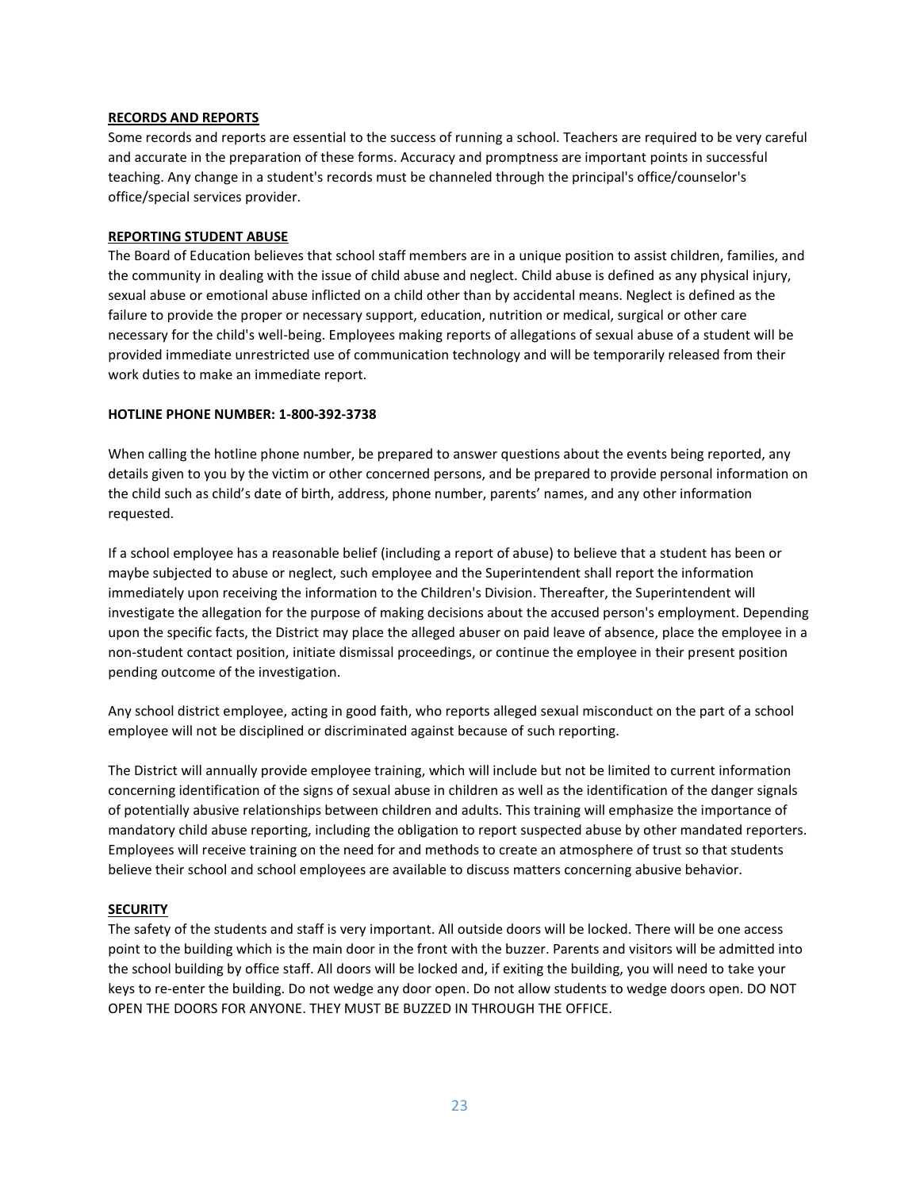#### **RECORDS AND REPORTS**

Some records and reports are essential to the success of running a school. Teachers are required to be very careful and accurate in the preparation of these forms. Accuracy and promptness are important points in successful teaching. Any change in a student's records must be channeled through the principal's office/counselor's office/special services provider.

#### **REPORTING STUDENT ABUSE**

The Board of Education believes that school staff members are in a unique position to assist children, families, and the community in dealing with the issue of child abuse and neglect. Child abuse is defined as any physical injury, sexual abuse or emotional abuse inflicted on a child other than by accidental means. Neglect is defined as the failure to provide the proper or necessary support, education, nutrition or medical, surgical or other care necessary for the child's well-being. Employees making reports of allegations of sexual abuse of a student will be provided immediate unrestricted use of communication technology and will be temporarily released from their work duties to make an immediate report.

#### **HOTLINE PHONE NUMBER: 1-800-392-3738**

When calling the hotline phone number, be prepared to answer questions about the events being reported, any details given to you by the victim or other concerned persons, and be prepared to provide personal information on the child such as child's date of birth, address, phone number, parents' names, and any other information requested.

If a school employee has a reasonable belief (including a report of abuse) to believe that a student has been or maybe subjected to abuse or neglect, such employee and the Superintendent shall report the information immediately upon receiving the information to the Children's Division. Thereafter, the Superintendent will investigate the allegation for the purpose of making decisions about the accused person's employment. Depending upon the specific facts, the District may place the alleged abuser on paid leave of absence, place the employee in a non-student contact position, initiate dismissal proceedings, or continue the employee in their present position pending outcome of the investigation.

Any school district employee, acting in good faith, who reports alleged sexual misconduct on the part of a school employee will not be disciplined or discriminated against because of such reporting.

The District will annually provide employee training, which will include but not be limited to current information concerning identification of the signs of sexual abuse in children as well as the identification of the danger signals of potentially abusive relationships between children and adults. This training will emphasize the importance of mandatory child abuse reporting, including the obligation to report suspected abuse by other mandated reporters. Employees will receive training on the need for and methods to create an atmosphere of trust so that students believe their school and school employees are available to discuss matters concerning abusive behavior.

#### **SECURITY**

The safety of the students and staff is very important. All outside doors will be locked. There will be one access point to the building which is the main door in the front with the buzzer. Parents and visitors will be admitted into the school building by office staff. All doors will be locked and, if exiting the building, you will need to take your keys to re-enter the building. Do not wedge any door open. Do not allow students to wedge doors open. DO NOT OPEN THE DOORS FOR ANYONE. THEY MUST BE BUZZED IN THROUGH THE OFFICE.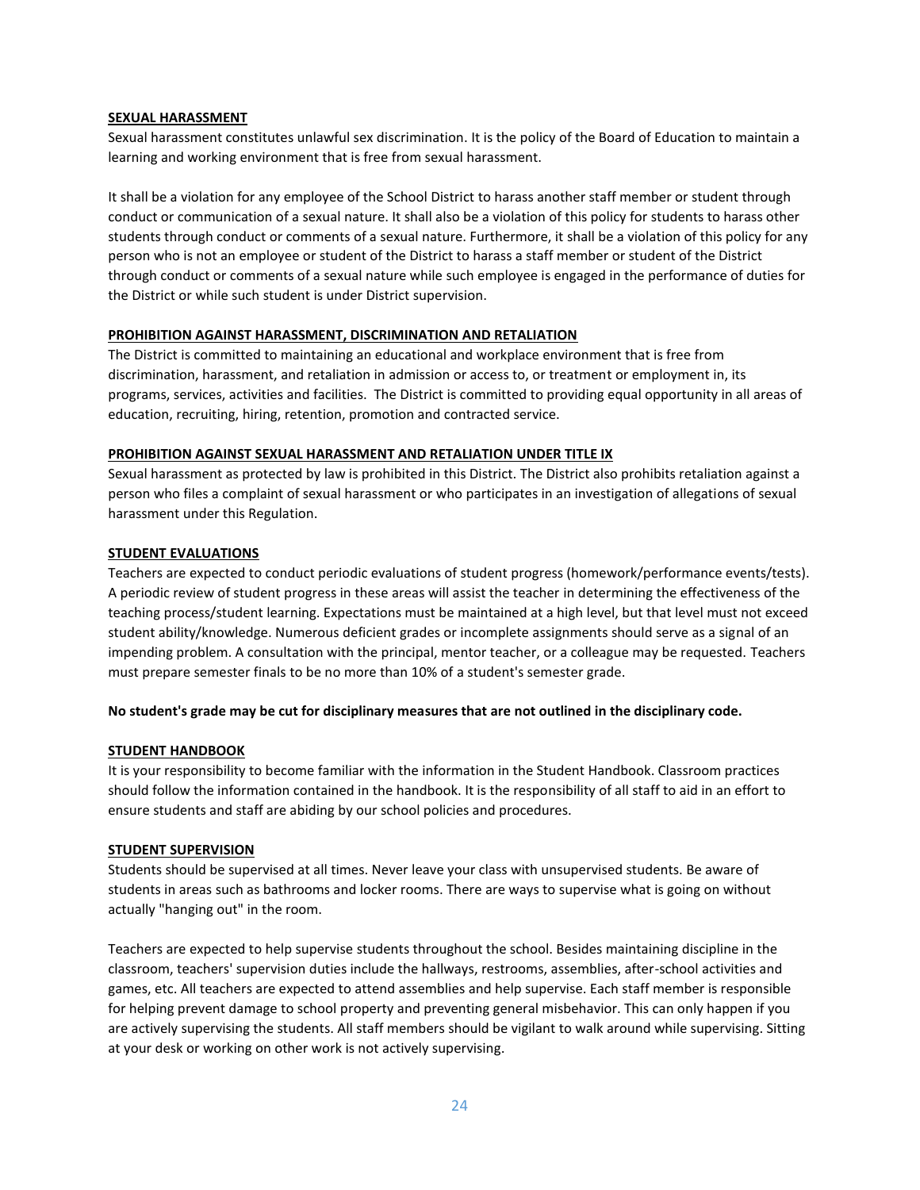#### **SEXUAL HARASSMENT**

Sexual harassment constitutes unlawful sex discrimination. It is the policy of the Board of Education to maintain a learning and working environment that is free from sexual harassment.

It shall be a violation for any employee of the School District to harass another staff member or student through conduct or communication of a sexual nature. It shall also be a violation of this policy for students to harass other students through conduct or comments of a sexual nature. Furthermore, it shall be a violation of this policy for any person who is not an employee or student of the District to harass a staff member or student of the District through conduct or comments of a sexual nature while such employee is engaged in the performance of duties for the District or while such student is under District supervision.

#### **PROHIBITION AGAINST HARASSMENT, DISCRIMINATION AND RETALIATION**

The District is committed to maintaining an educational and workplace environment that is free from discrimination, harassment, and retaliation in admission or access to, or treatment or employment in, its programs, services, activities and facilities. The District is committed to providing equal opportunity in all areas of education, recruiting, hiring, retention, promotion and contracted service.

#### **PROHIBITION AGAINST SEXUAL HARASSMENT AND RETALIATION UNDER TITLE IX**

Sexual harassment as protected by law is prohibited in this District. The District also prohibits retaliation against a person who files a complaint of sexual harassment or who participates in an investigation of allegations of sexual harassment under this Regulation.

#### **STUDENT EVALUATIONS**

Teachers are expected to conduct periodic evaluations of student progress (homework/performance events/tests). A periodic review of student progress in these areas will assist the teacher in determining the effectiveness of the teaching process/student learning. Expectations must be maintained at a high level, but that level must not exceed student ability/knowledge. Numerous deficient grades or incomplete assignments should serve as a signal of an impending problem. A consultation with the principal, mentor teacher, or a colleague may be requested. Teachers must prepare semester finals to be no more than 10% of a student's semester grade.

#### **No student's grade may be cut for disciplinary measures that are not outlined in the disciplinary code.**

#### **STUDENT HANDBOOK**

It is your responsibility to become familiar with the information in the Student Handbook. Classroom practices should follow the information contained in the handbook. It is the responsibility of all staff to aid in an effort to ensure students and staff are abiding by our school policies and procedures.

#### **STUDENT SUPERVISION**

Students should be supervised at all times. Never leave your class with unsupervised students. Be aware of students in areas such as bathrooms and locker rooms. There are ways to supervise what is going on without actually "hanging out" in the room.

Teachers are expected to help supervise students throughout the school. Besides maintaining discipline in the classroom, teachers' supervision duties include the hallways, restrooms, assemblies, after-school activities and games, etc. All teachers are expected to attend assemblies and help supervise. Each staff member is responsible for helping prevent damage to school property and preventing general misbehavior. This can only happen if you are actively supervising the students. All staff members should be vigilant to walk around while supervising. Sitting at your desk or working on other work is not actively supervising.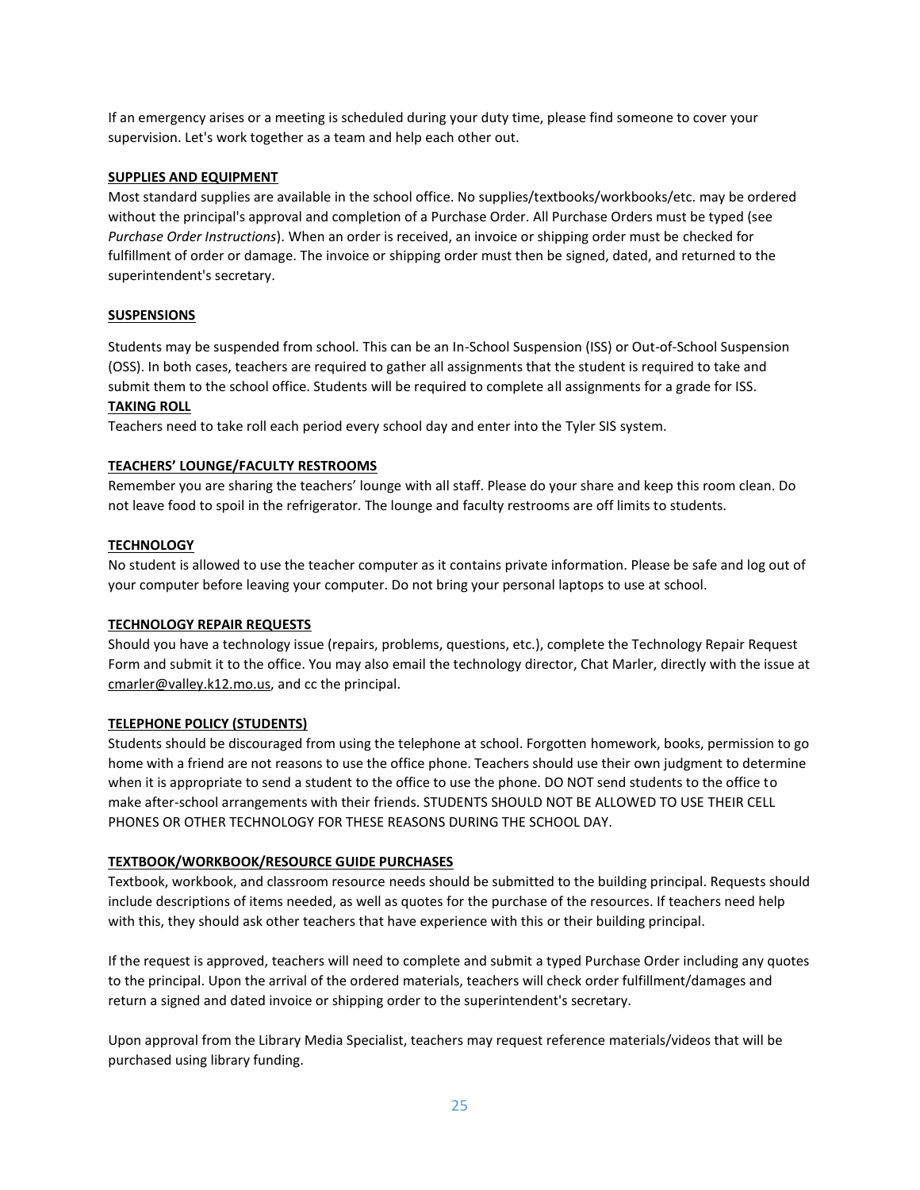If an emergency arises or a meeting is scheduled during your duty time, please find someone to cover your supervision. Let's work together as a team and help each other out.

#### **SUPPLIES AND EQUIPMENT**

Most standard supplies are available in the school office. No supplies/textbooks/workbooks/etc. may be ordered without the principal's approval and completion of a Purchase Order. All Purchase Orders must be typed (see *Purchase Order Instructions*). When an order is received, an invoice or shipping order must be checked for fulfillment of order or damage. The invoice or shipping order must then be signed, dated, and returned to the superintendent's secretary.

#### **SUSPENSIONS**

Students may be suspended from school. This can be an In-School Suspension (ISS) or Out-of-School Suspension (OSS). In both cases, teachers are required to gather all assignments that the student is required to take and submit them to the school office. Students will be required to complete all assignments for a grade for ISS. **TAKING ROLL**

Teachers need to take roll each period every school day and enter into the Tyler SIS system.

#### **TEACHERS' LOUNGE/FACULTY RESTROOMS**

Remember you are sharing the teachers' lounge with all staff. Please do your share and keep this room clean. Do not leave food to spoil in the refrigerator. The lounge and faculty restrooms are off limits to students.

#### **TECHNOLOGY**

No student is allowed to use the teacher computer as it contains private information. Please be safe and log out of your computer before leaving your computer. Do not bring your personal laptops to use at school.

#### **TECHNOLOGY REPAIR REQUESTS**

Should you have a technology issue (repairs, problems, questions, etc.), complete the Technology Repair Request Form and submit it to the office. You may also email the technology director, Chat Marler, directly with the issue at [cmarler@valley.k12.mo.us,](mailto:cmarler@valley.k12.mo.us) and cc the principal.

#### **TELEPHONE POLICY (STUDENTS)**

Students should be discouraged from using the telephone at school. Forgotten homework, books, permission to go home with a friend are not reasons to use the office phone. Teachers should use their own judgment to determine when it is appropriate to send a student to the office to use the phone. DO NOT send students to the office to make after-school arrangements with their friends. STUDENTS SHOULD NOT BE ALLOWED TO USE THEIR CELL PHONES OR OTHER TECHNOLOGY FOR THESE REASONS DURING THE SCHOOL DAY.

#### **TEXTBOOK/WORKBOOK/RESOURCE GUIDE PURCHASES**

Textbook, workbook, and classroom resource needs should be submitted to the building principal. Requests should include descriptions of items needed, as well as quotes for the purchase of the resources. If teachers need help with this, they should ask other teachers that have experience with this or their building principal.

If the request is approved, teachers will need to complete and submit a typed Purchase Order including any quotes to the principal. Upon the arrival of the ordered materials, teachers will check order fulfillment/damages and return a signed and dated invoice or shipping order to the superintendent's secretary.

Upon approval from the Library Media Specialist, teachers may request reference materials/videos that will be purchased using library funding.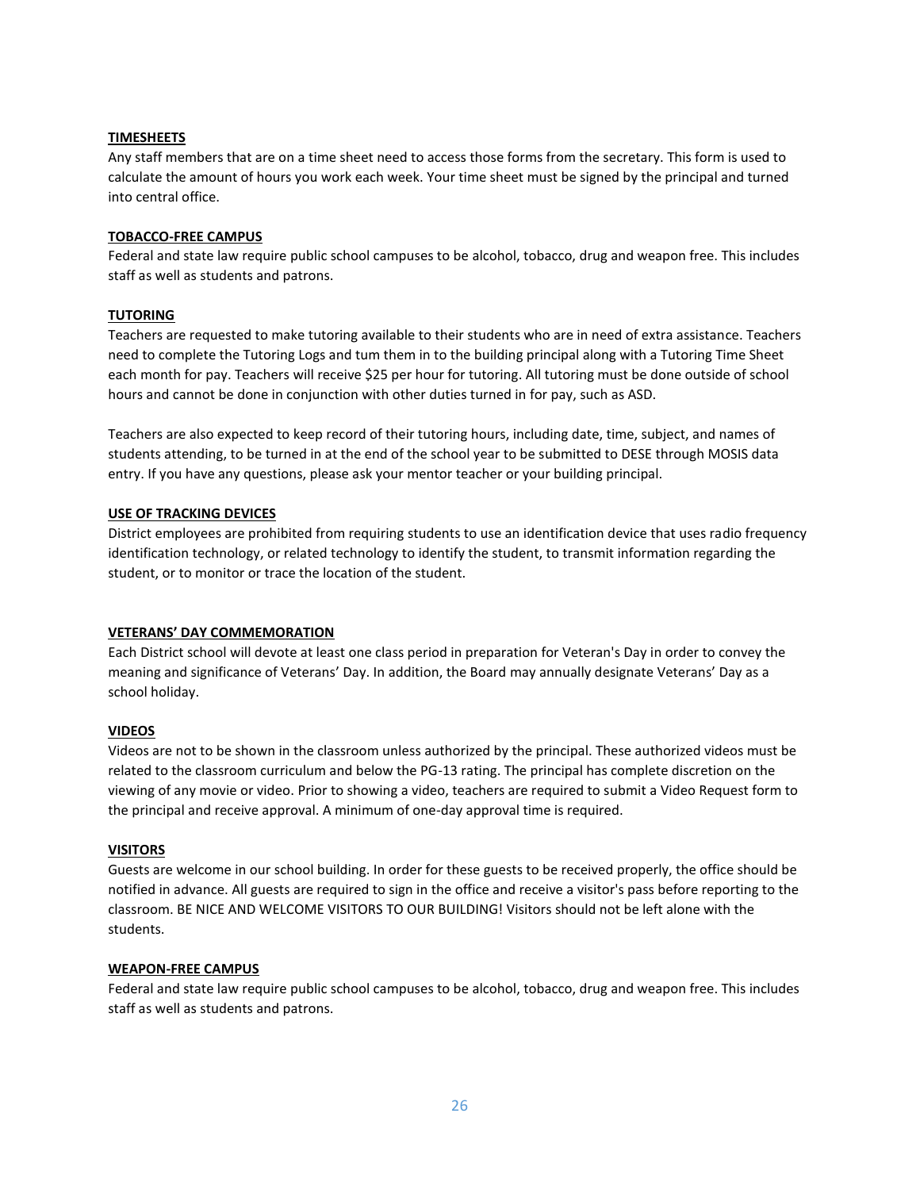#### **TIMESHEETS**

Any staff members that are on a time sheet need to access those forms from the secretary. This form is used to calculate the amount of hours you work each week. Your time sheet must be signed by the principal and turned into central office.

#### **TOBACCO-FREE CAMPUS**

Federal and state law require public school campuses to be alcohol, tobacco, drug and weapon free. This includes staff as well as students and patrons.

### **TUTORING**

Teachers are requested to make tutoring available to their students who are in need of extra assistance. Teachers need to complete the Tutoring Logs and tum them in to the building principal along with a Tutoring Time Sheet each month for pay. Teachers will receive \$25 per hour for tutoring. All tutoring must be done outside of school hours and cannot be done in conjunction with other duties turned in for pay, such as ASD.

Teachers are also expected to keep record of their tutoring hours, including date, time, subject, and names of students attending, to be turned in at the end of the school year to be submitted to DESE through MOSIS data entry. If you have any questions, please ask your mentor teacher or your building principal.

### **USE OF TRACKING DEVICES**

District employees are prohibited from requiring students to use an identification device that uses radio frequency identification technology, or related technology to identify the student, to transmit information regarding the student, or to monitor or trace the location of the student.

#### **VETERANS' DAY COMMEMORATION**

Each District school will devote at least one class period in preparation for Veteran's Day in order to convey the meaning and significance of Veterans' Day. In addition, the Board may annually designate Veterans' Day as a school holiday.

#### **VIDEOS**

Videos are not to be shown in the classroom unless authorized by the principal. These authorized videos must be related to the classroom curriculum and below the PG-13 rating. The principal has complete discretion on the viewing of any movie or video. Prior to showing a video, teachers are required to submit a Video Request form to the principal and receive approval. A minimum of one-day approval time is required.

#### **VISITORS**

Guests are welcome in our school building. In order for these guests to be received properly, the office should be notified in advance. All guests are required to sign in the office and receive a visitor's pass before reporting to the classroom. BE NICE AND WELCOME VISITORS TO OUR BUILDING! Visitors should not be left alone with the students.

#### **WEAPON-FREE CAMPUS**

Federal and state law require public school campuses to be alcohol, tobacco, drug and weapon free. This includes staff as well as students and patrons.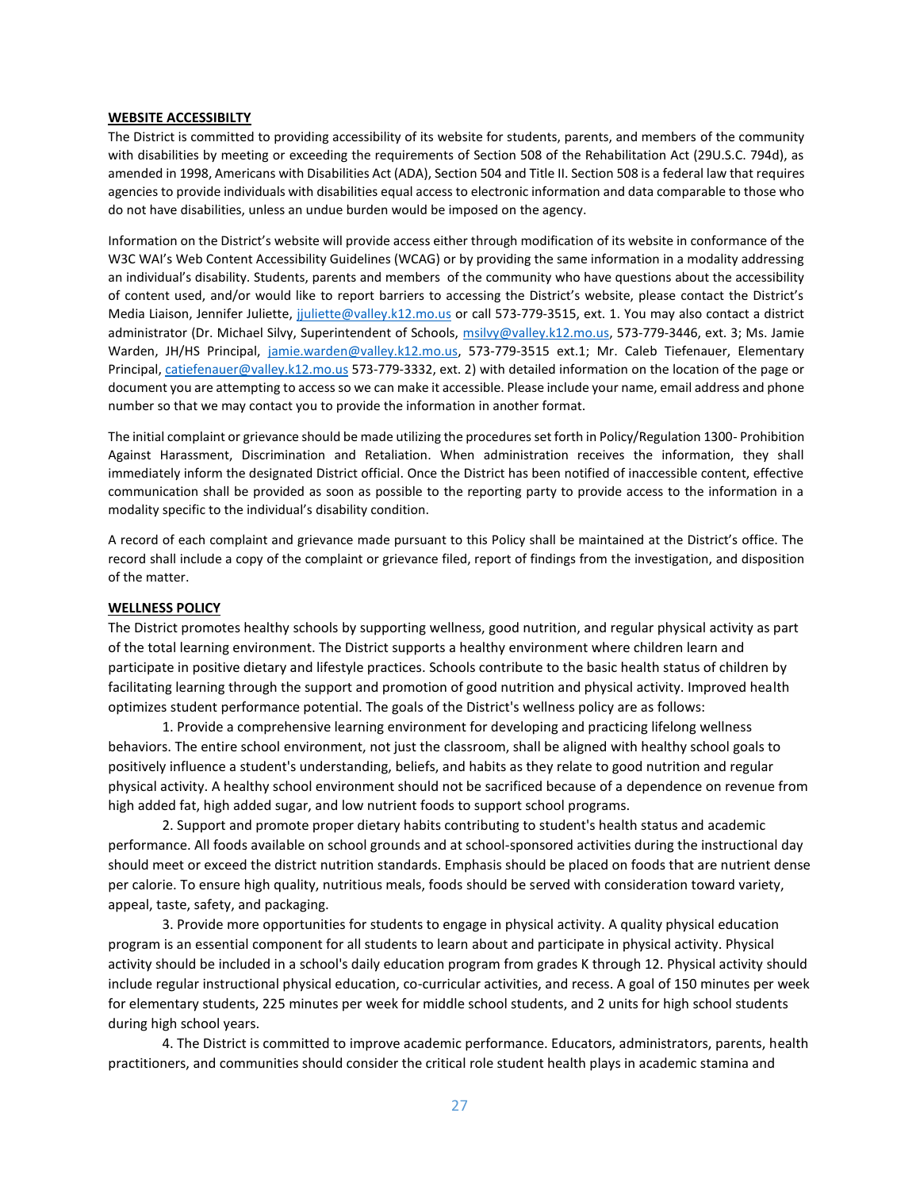#### **WEBSITE ACCESSIBILTY**

The District is committed to providing accessibility of its website for students, parents, and members of the community with disabilities by meeting or exceeding the requirements of Section 508 of the Rehabilitation Act (29U.S.C. 794d), as amended in 1998, Americans with Disabilities Act (ADA), Section 504 and Title II. Section 508 is a federal law that requires agencies to provide individuals with disabilities equal access to electronic information and data comparable to those who do not have disabilities, unless an undue burden would be imposed on the agency.

Information on the District's website will provide access either through modification of its website in conformance of the W3C WAI's Web Content Accessibility Guidelines (WCAG) or by providing the same information in a modality addressing an individual's disability. Students, parents and members of the community who have questions about the accessibility of content used, and/or would like to report barriers to accessing the District's website, please contact the District's Media Liaison, Jennifer Juliette, [jjuliette@valley.k12.mo.us](mailto:jjuliette@valley.k12.mo.us) or call 573-779-3515, ext. 1. You may also contact a district administrator (Dr. Michael Silvy, Superintendent of Schools, [msilvy@valley.k12.mo.us,](mailto:msilvy@valley.k12.mo.us) 573-779-3446, ext. 3; Ms. Jamie Warden, JH/HS Principal, [jamie.warden@valley.k12.mo.us,](mailto:jamie.warden@valley.k12.mo.us) 573-779-3515 ext.1; Mr. Caleb Tiefenauer, Elementary Principal, [catiefenauer@valley.k12.mo.us](mailto:catiefenauer@valley.k12.mo.us) 573-779-3332, ext. 2) with detailed information on the location of the page or document you are attempting to access so we can make it accessible. Please include your name, email address and phone number so that we may contact you to provide the information in another format.

The initial complaint or grievance should be made utilizing the procedures set forth in Policy/Regulation 1300- Prohibition Against Harassment, Discrimination and Retaliation. When administration receives the information, they shall immediately inform the designated District official. Once the District has been notified of inaccessible content, effective communication shall be provided as soon as possible to the reporting party to provide access to the information in a modality specific to the individual's disability condition.

A record of each complaint and grievance made pursuant to this Policy shall be maintained at the District's office. The record shall include a copy of the complaint or grievance filed, report of findings from the investigation, and disposition of the matter.

#### **WELLNESS POLICY**

The District promotes healthy schools by supporting wellness, good nutrition, and regular physical activity as part of the total learning environment. The District supports a healthy environment where children learn and participate in positive dietary and lifestyle practices. Schools contribute to the basic health status of children by facilitating learning through the support and promotion of good nutrition and physical activity. Improved health optimizes student performance potential. The goals of the District's wellness policy are as follows:

1. Provide a comprehensive learning environment for developing and practicing lifelong wellness behaviors. The entire school environment, not just the classroom, shall be aligned with healthy school goals to positively influence a student's understanding, beliefs, and habits as they relate to good nutrition and regular physical activity. A healthy school environment should not be sacrificed because of a dependence on revenue from high added fat, high added sugar, and low nutrient foods to support school programs.

2. Support and promote proper dietary habits contributing to student's health status and academic performance. All foods available on school grounds and at school-sponsored activities during the instructional day should meet or exceed the district nutrition standards. Emphasis should be placed on foods that are nutrient dense per calorie. To ensure high quality, nutritious meals, foods should be served with consideration toward variety, appeal, taste, safety, and packaging.

3. Provide more opportunities for students to engage in physical activity. A quality physical education program is an essential component for all students to learn about and participate in physical activity. Physical activity should be included in a school's daily education program from grades K through 12. Physical activity should include regular instructional physical education, co-curricular activities, and recess. A goal of 150 minutes per week for elementary students, 225 minutes per week for middle school students, and 2 units for high school students during high school years.

4. The District is committed to improve academic performance. Educators, administrators, parents, health practitioners, and communities should consider the critical role student health plays in academic stamina and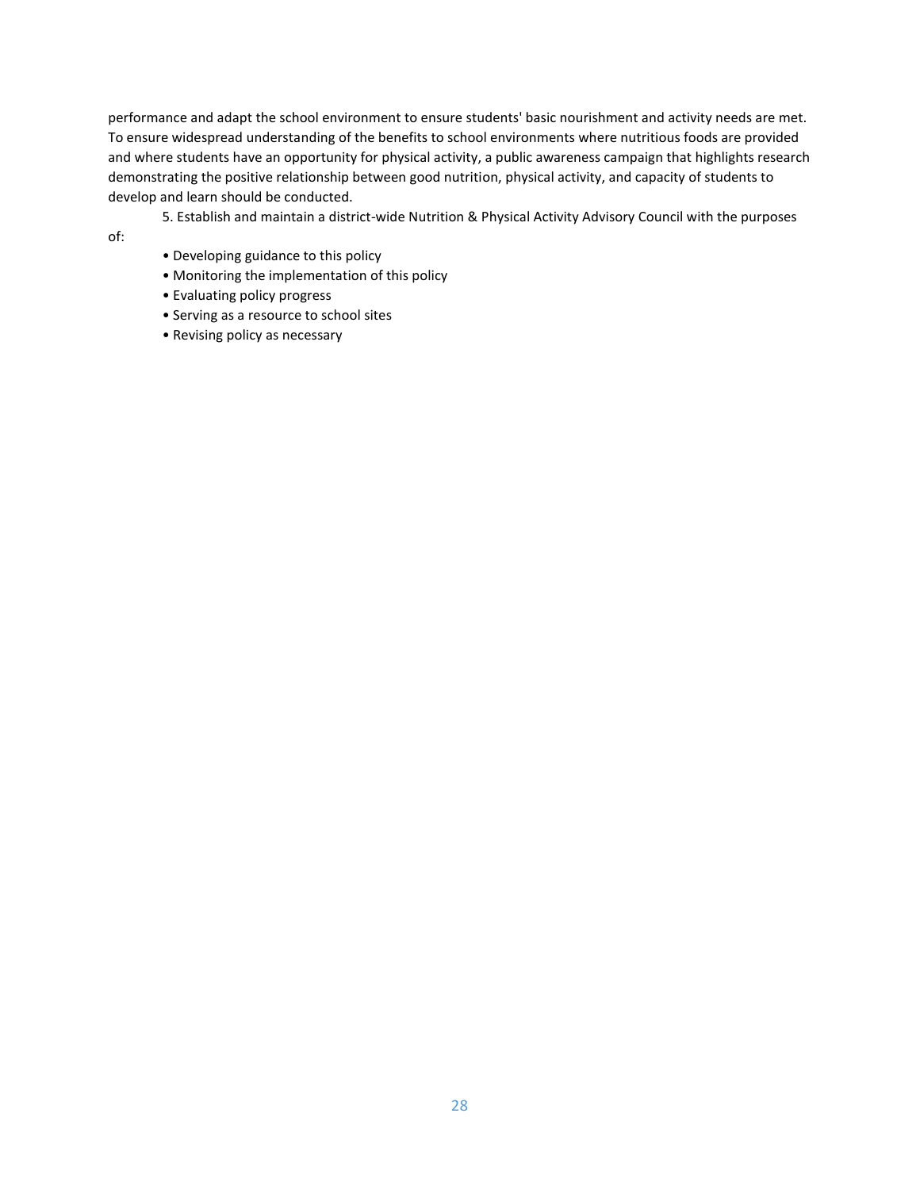performance and adapt the school environment to ensure students' basic nourishment and activity needs are met. To ensure widespread understanding of the benefits to school environments where nutritious foods are provided and where students have an opportunity for physical activity, a public awareness campaign that highlights research demonstrating the positive relationship between good nutrition, physical activity, and capacity of students to develop and learn should be conducted.

- 5. Establish and maintain a district-wide Nutrition & Physical Activity Advisory Council with the purposes
- of:
- Developing guidance to this policy
- Monitoring the implementation of this policy
- Evaluating policy progress
- Serving as a resource to school sites
- Revising policy as necessary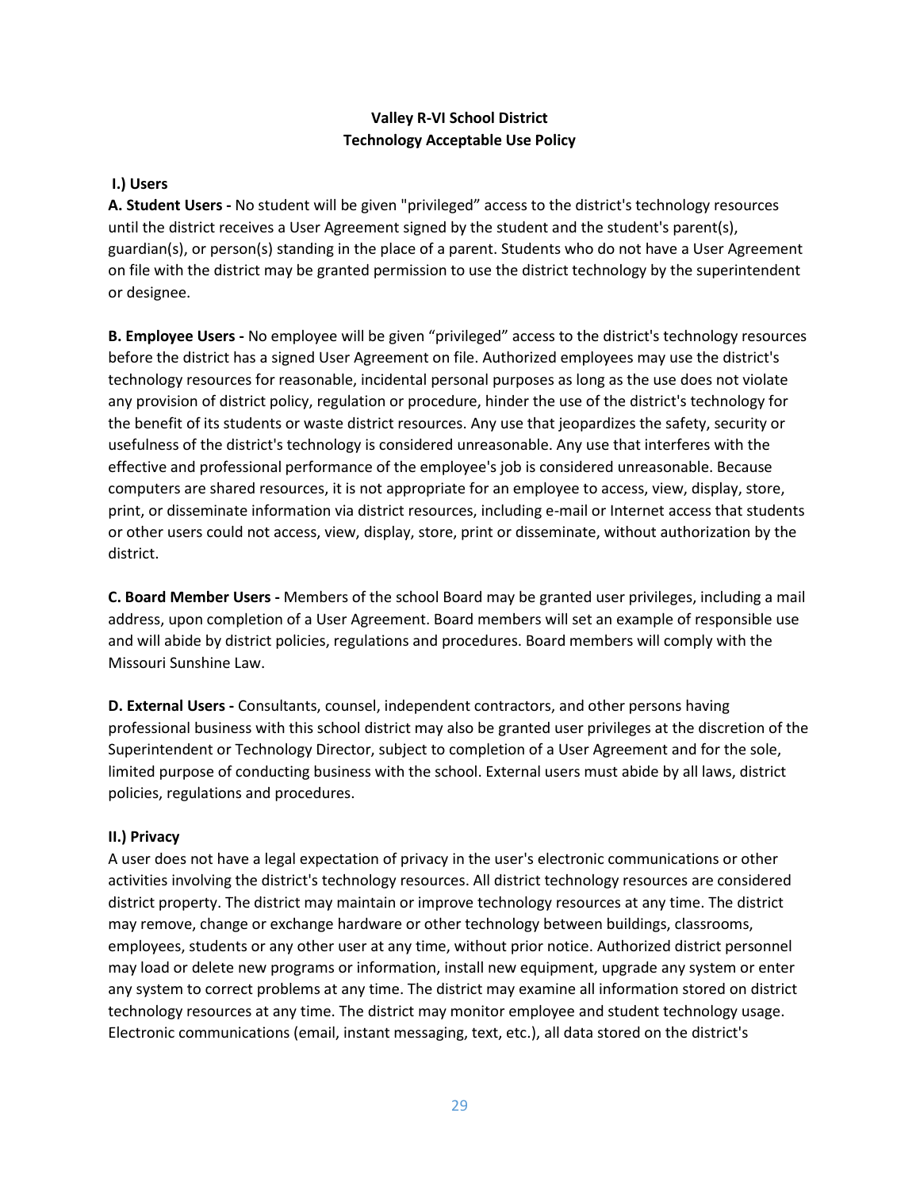## **Valley R-VI School District Technology Acceptable Use Policy**

## **I.) Users**

**A. Student Users -** No student will be given "privileged" access to the district's technology resources until the district receives a User Agreement signed by the student and the student's parent(s), guardian(s), or person(s) standing in the place of a parent. Students who do not have a User Agreement on file with the district may be granted permission to use the district technology by the superintendent or designee.

**B. Employee Users -** No employee will be given "privileged" access to the district's technology resources before the district has a signed User Agreement on file. Authorized employees may use the district's technology resources for reasonable, incidental personal purposes as long as the use does not violate any provision of district policy, regulation or procedure, hinder the use of the district's technology for the benefit of its students or waste district resources. Any use that jeopardizes the safety, security or usefulness of the district's technology is considered unreasonable. Any use that interferes with the effective and professional performance of the employee's job is considered unreasonable. Because computers are shared resources, it is not appropriate for an employee to access, view, display, store, print, or disseminate information via district resources, including e-mail or Internet access that students or other users could not access, view, display, store, print or disseminate, without authorization by the district.

**C. Board Member Users -** Members of the school Board may be granted user privileges, including a mail address, upon completion of a User Agreement. Board members will set an example of responsible use and will abide by district policies, regulations and procedures. Board members will comply with the Missouri Sunshine Law.

**D. External Users -** Consultants, counsel, independent contractors, and other persons having professional business with this school district may also be granted user privileges at the discretion of the Superintendent or Technology Director, subject to completion of a User Agreement and for the sole, limited purpose of conducting business with the school. External users must abide by all laws, district policies, regulations and procedures.

## **II.) Privacy**

A user does not have a legal expectation of privacy in the user's electronic communications or other activities involving the district's technology resources. All district technology resources are considered district property. The district may maintain or improve technology resources at any time. The district may remove, change or exchange hardware or other technology between buildings, classrooms, employees, students or any other user at any time, without prior notice. Authorized district personnel may load or delete new programs or information, install new equipment, upgrade any system or enter any system to correct problems at any time. The district may examine all information stored on district technology resources at any time. The district may monitor employee and student technology usage. Electronic communications (email, instant messaging, text, etc.), all data stored on the district's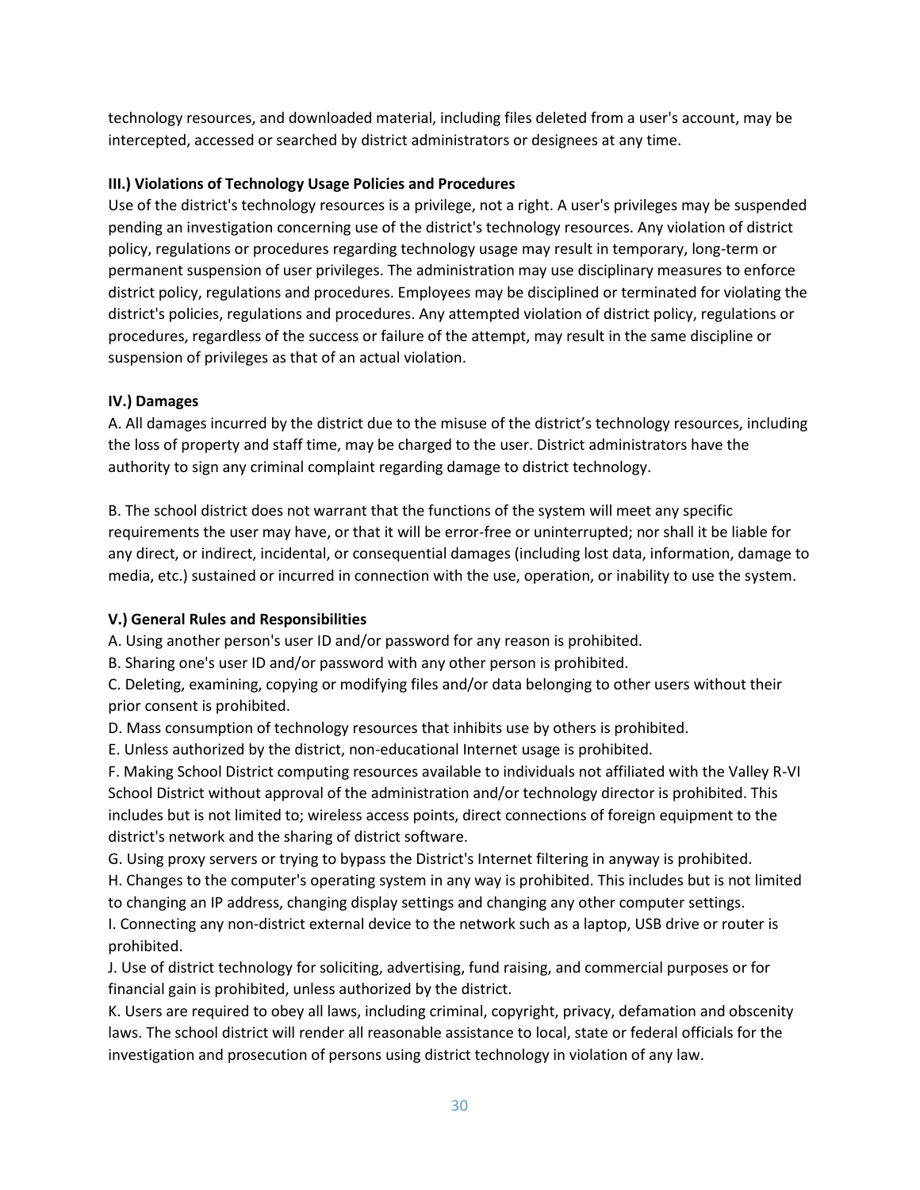technology resources, and downloaded material, including files deleted from a user's account, may be intercepted, accessed or searched by district administrators or designees at any time.

## **III.) Violations of Technology Usage Policies and Procedures**

Use of the district's technology resources is a privilege, not a right. A user's privileges may be suspended pending an investigation concerning use of the district's technology resources. Any violation of district policy, regulations or procedures regarding technology usage may result in temporary, long-term or permanent suspension of user privileges. The administration may use disciplinary measures to enforce district policy, regulations and procedures. Employees may be disciplined or terminated for violating the district's policies, regulations and procedures. Any attempted violation of district policy, regulations or procedures, regardless of the success or failure of the attempt, may result in the same discipline or suspension of privileges as that of an actual violation.

## **IV.) Damages**

A. All damages incurred by the district due to the misuse of the district's technology resources, including the loss of property and staff time, may be charged to the user. District administrators have the authority to sign any criminal complaint regarding damage to district technology.

B. The school district does not warrant that the functions of the system will meet any specific requirements the user may have, or that it will be error-free or uninterrupted; nor shall it be liable for any direct, or indirect, incidental, or consequential damages (including lost data, information, damage to media, etc.) sustained or incurred in connection with the use, operation, or inability to use the system.

## **V.) General Rules and Responsibilities**

A. Using another person's user ID and/or password for any reason is prohibited.

B. Sharing one's user ID and/or password with any other person is prohibited.

C. Deleting, examining, copying or modifying files and/or data belonging to other users without their prior consent is prohibited.

D. Mass consumption of technology resources that inhibits use by others is prohibited.

E. Unless authorized by the district, non-educational Internet usage is prohibited.

F. Making School District computing resources available to individuals not affiliated with the Valley R-VI School District without approval of the administration and/or technology director is prohibited. This includes but is not limited to; wireless access points, direct connections of foreign equipment to the district's network and the sharing of district software.

G. Using proxy servers or trying to bypass the District's Internet filtering in anyway is prohibited.

H. Changes to the computer's operating system in any way is prohibited. This includes but is not limited to changing an IP address, changing display settings and changing any other computer settings.

I. Connecting any non-district external device to the network such as a laptop, USB drive or router is prohibited.

J. Use of district technology for soliciting, advertising, fund raising, and commercial purposes or for financial gain is prohibited, unless authorized by the district.

K. Users are required to obey all laws, including criminal, copyright, privacy, defamation and obscenity laws. The school district will render all reasonable assistance to local, state or federal officials for the investigation and prosecution of persons using district technology in violation of any law.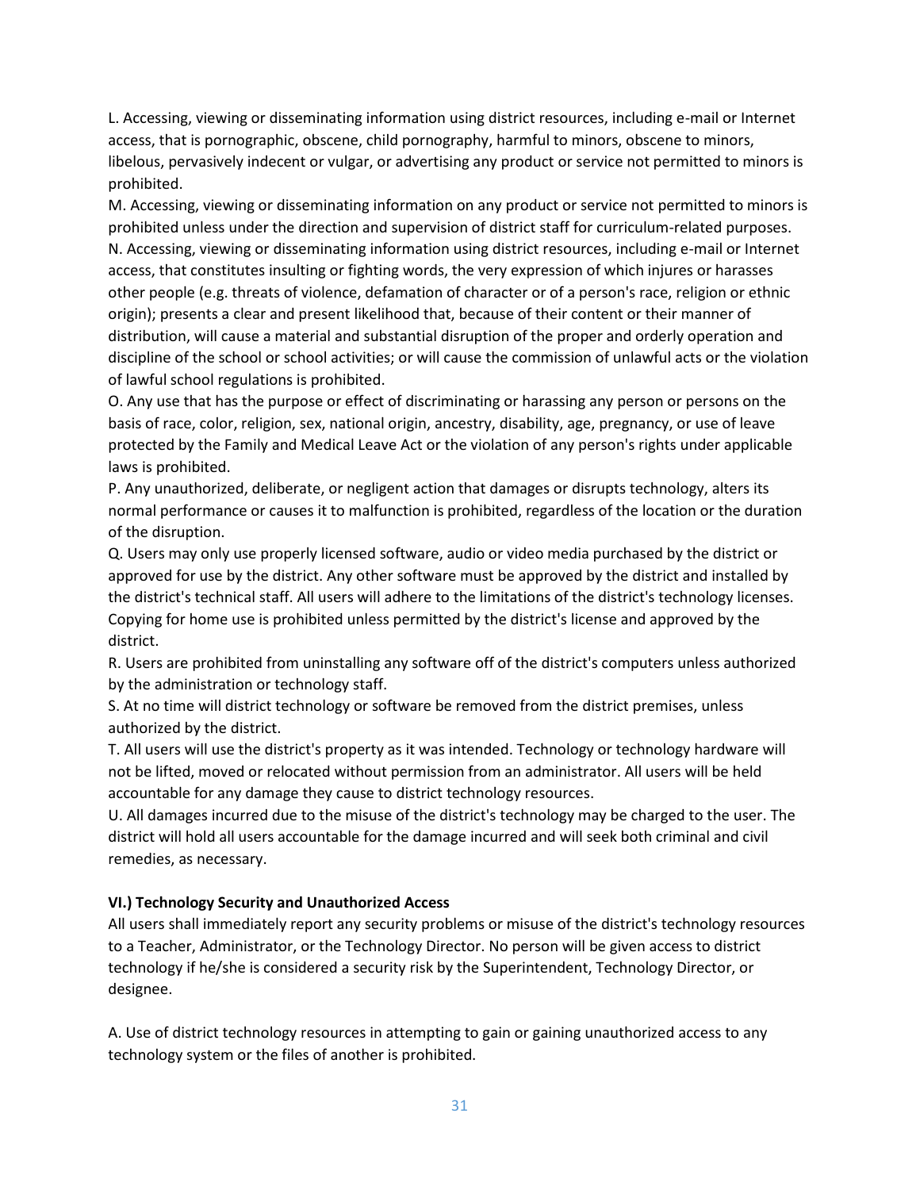L. Accessing, viewing or disseminating information using district resources, including e-mail or Internet access, that is pornographic, obscene, child pornography, harmful to minors, obscene to minors, libelous, pervasively indecent or vulgar, or advertising any product or service not permitted to minors is prohibited.

M. Accessing, viewing or disseminating information on any product or service not permitted to minors is prohibited unless under the direction and supervision of district staff for curriculum-related purposes. N. Accessing, viewing or disseminating information using district resources, including e-mail or Internet access, that constitutes insulting or fighting words, the very expression of which injures or harasses other people (e.g. threats of violence, defamation of character or of a person's race, religion or ethnic origin); presents a clear and present likelihood that, because of their content or their manner of distribution, will cause a material and substantial disruption of the proper and orderly operation and discipline of the school or school activities; or will cause the commission of unlawful acts or the violation of lawful school regulations is prohibited.

O. Any use that has the purpose or effect of discriminating or harassing any person or persons on the basis of race, color, religion, sex, national origin, ancestry, disability, age, pregnancy, or use of leave protected by the Family and Medical Leave Act or the violation of any person's rights under applicable laws is prohibited.

P. Any unauthorized, deliberate, or negligent action that damages or disrupts technology, alters its normal performance or causes it to malfunction is prohibited, regardless of the location or the duration of the disruption.

Q. Users may only use properly licensed software, audio or video media purchased by the district or approved for use by the district. Any other software must be approved by the district and installed by the district's technical staff. All users will adhere to the limitations of the district's technology licenses. Copying for home use is prohibited unless permitted by the district's license and approved by the district.

R. Users are prohibited from uninstalling any software off of the district's computers unless authorized by the administration or technology staff.

S. At no time will district technology or software be removed from the district premises, unless authorized by the district.

T. All users will use the district's property as it was intended. Technology or technology hardware will not be lifted, moved or relocated without permission from an administrator. All users will be held accountable for any damage they cause to district technology resources.

U. All damages incurred due to the misuse of the district's technology may be charged to the user. The district will hold all users accountable for the damage incurred and will seek both criminal and civil remedies, as necessary.

## **VI.) Technology Security and Unauthorized Access**

All users shall immediately report any security problems or misuse of the district's technology resources to a Teacher, Administrator, or the Technology Director. No person will be given access to district technology if he/she is considered a security risk by the Superintendent, Technology Director, or designee.

A. Use of district technology resources in attempting to gain or gaining unauthorized access to any technology system or the files of another is prohibited.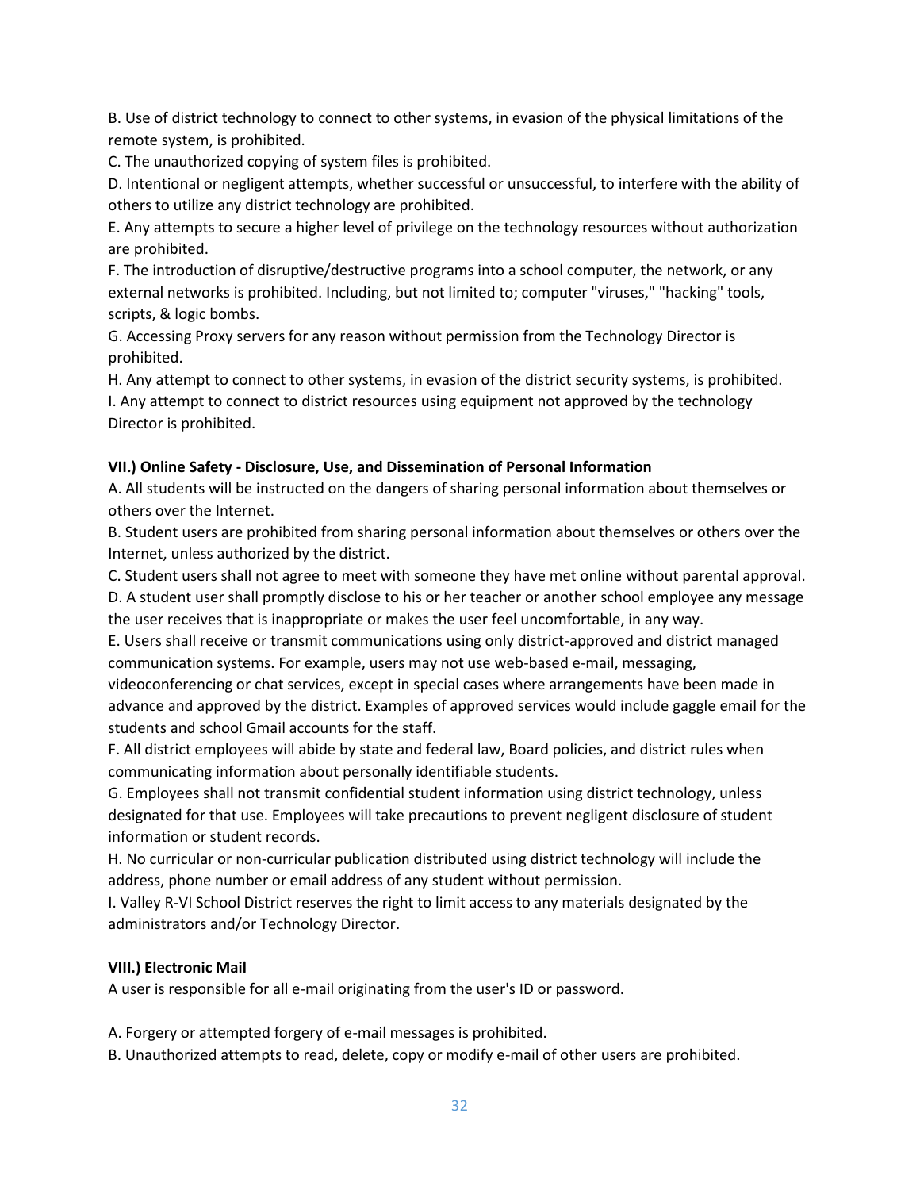B. Use of district technology to connect to other systems, in evasion of the physical limitations of the remote system, is prohibited.

C. The unauthorized copying of system files is prohibited.

D. Intentional or negligent attempts, whether successful or unsuccessful, to interfere with the ability of others to utilize any district technology are prohibited.

E. Any attempts to secure a higher level of privilege on the technology resources without authorization are prohibited.

F. The introduction of disruptive/destructive programs into a school computer, the network, or any external networks is prohibited. Including, but not limited to; computer "viruses," "hacking" tools, scripts, & logic bombs.

G. Accessing Proxy servers for any reason without permission from the Technology Director is prohibited.

H. Any attempt to connect to other systems, in evasion of the district security systems, is prohibited. I. Any attempt to connect to district resources using equipment not approved by the technology Director is prohibited.

## **VII.) Online Safety - Disclosure, Use, and Dissemination of Personal Information**

A. All students will be instructed on the dangers of sharing personal information about themselves or others over the Internet.

B. Student users are prohibited from sharing personal information about themselves or others over the Internet, unless authorized by the district.

C. Student users shall not agree to meet with someone they have met online without parental approval.

D. A student user shall promptly disclose to his or her teacher or another school employee any message the user receives that is inappropriate or makes the user feel uncomfortable, in any way.

E. Users shall receive or transmit communications using only district-approved and district managed communication systems. For example, users may not use web-based e-mail, messaging,

videoconferencing or chat services, except in special cases where arrangements have been made in advance and approved by the district. Examples of approved services would include gaggle email for the students and school Gmail accounts for the staff.

F. All district employees will abide by state and federal law, Board policies, and district rules when communicating information about personally identifiable students.

G. Employees shall not transmit confidential student information using district technology, unless designated for that use. Employees will take precautions to prevent negligent disclosure of student information or student records.

H. No curricular or non-curricular publication distributed using district technology will include the address, phone number or email address of any student without permission.

I. Valley R-VI School District reserves the right to limit access to any materials designated by the administrators and/or Technology Director.

## **VIII.) Electronic Mail**

A user is responsible for all e-mail originating from the user's ID or password.

A. Forgery or attempted forgery of e-mail messages is prohibited.

B. Unauthorized attempts to read, delete, copy or modify e-mail of other users are prohibited.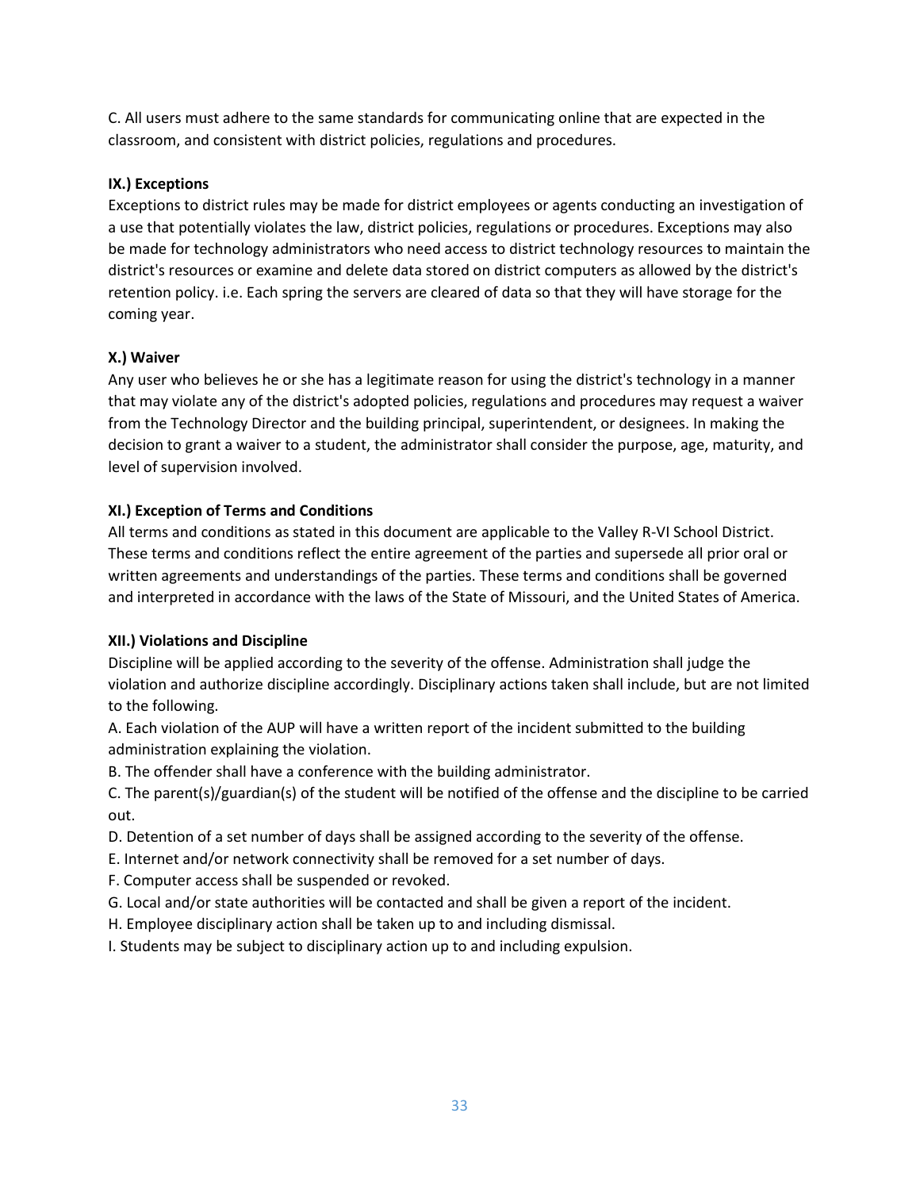C. All users must adhere to the same standards for communicating online that are expected in the classroom, and consistent with district policies, regulations and procedures.

## **IX.) Exceptions**

Exceptions to district rules may be made for district employees or agents conducting an investigation of a use that potentially violates the law, district policies, regulations or procedures. Exceptions may also be made for technology administrators who need access to district technology resources to maintain the district's resources or examine and delete data stored on district computers as allowed by the district's retention policy. i.e. Each spring the servers are cleared of data so that they will have storage for the coming year.

## **X.) Waiver**

Any user who believes he or she has a legitimate reason for using the district's technology in a manner that may violate any of the district's adopted policies, regulations and procedures may request a waiver from the Technology Director and the building principal, superintendent, or designees. In making the decision to grant a waiver to a student, the administrator shall consider the purpose, age, maturity, and level of supervision involved.

## **XI.) Exception of Terms and Conditions**

All terms and conditions as stated in this document are applicable to the Valley R-VI School District. These terms and conditions reflect the entire agreement of the parties and supersede all prior oral or written agreements and understandings of the parties. These terms and conditions shall be governed and interpreted in accordance with the laws of the State of Missouri, and the United States of America.

## **XII.) Violations and Discipline**

Discipline will be applied according to the severity of the offense. Administration shall judge the violation and authorize discipline accordingly. Disciplinary actions taken shall include, but are not limited to the following.

A. Each violation of the AUP will have a written report of the incident submitted to the building administration explaining the violation.

B. The offender shall have a conference with the building administrator.

C. The parent(s)/guardian(s) of the student will be notified of the offense and the discipline to be carried out.

D. Detention of a set number of days shall be assigned according to the severity of the offense.

E. Internet and/or network connectivity shall be removed for a set number of days.

F. Computer access shall be suspended or revoked.

G. Local and/or state authorities will be contacted and shall be given a report of the incident.

H. Employee disciplinary action shall be taken up to and including dismissal.

I. Students may be subject to disciplinary action up to and including expulsion.